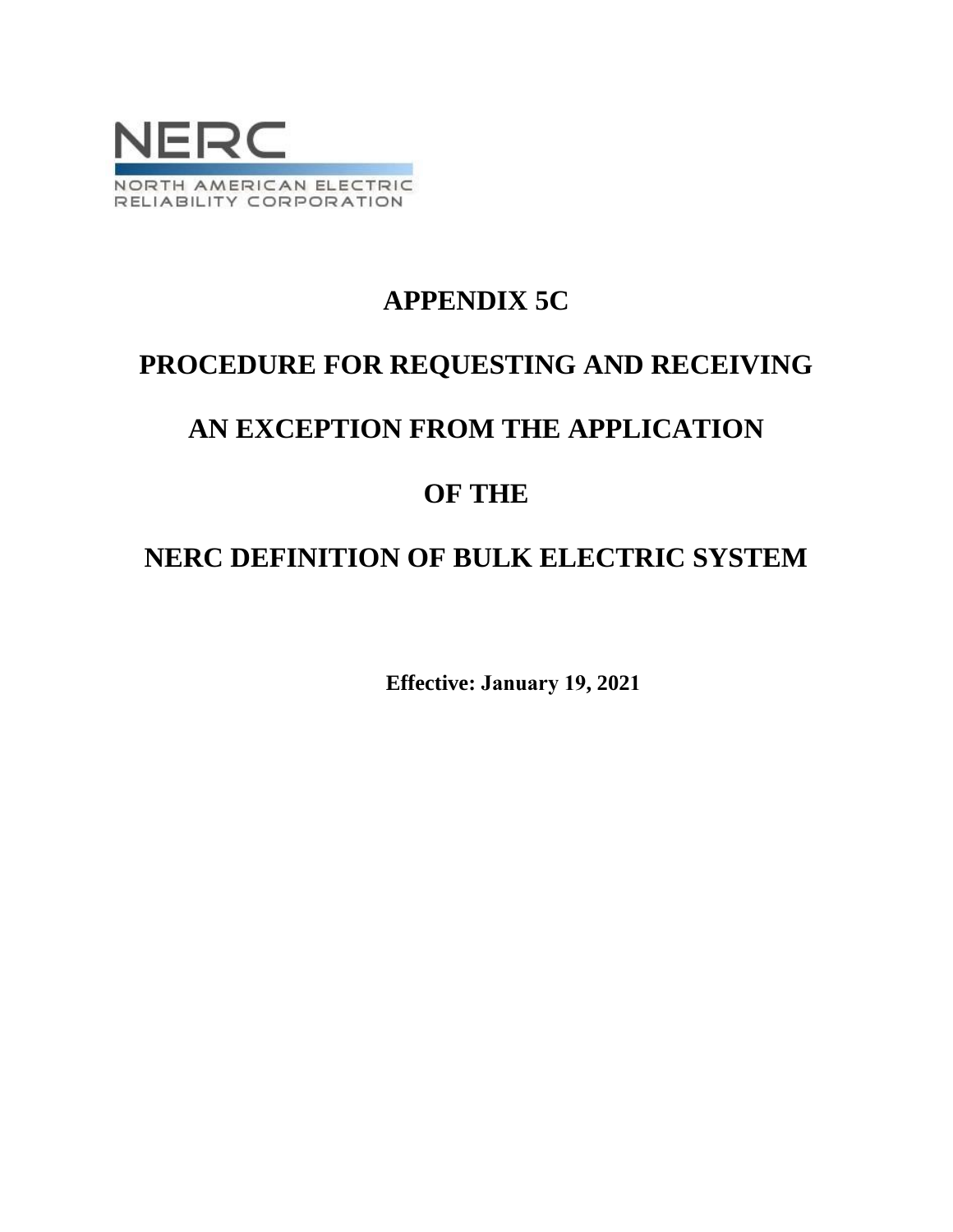

# **APPENDIX 5C**

# **PROCEDURE FOR REQUESTING AND RECEIVING**

# **AN EXCEPTION FROM THE APPLICATION**

# **OF THE**

# **NERC DEFINITION OF BULK ELECTRIC SYSTEM**

**Effective: January 19, 2021**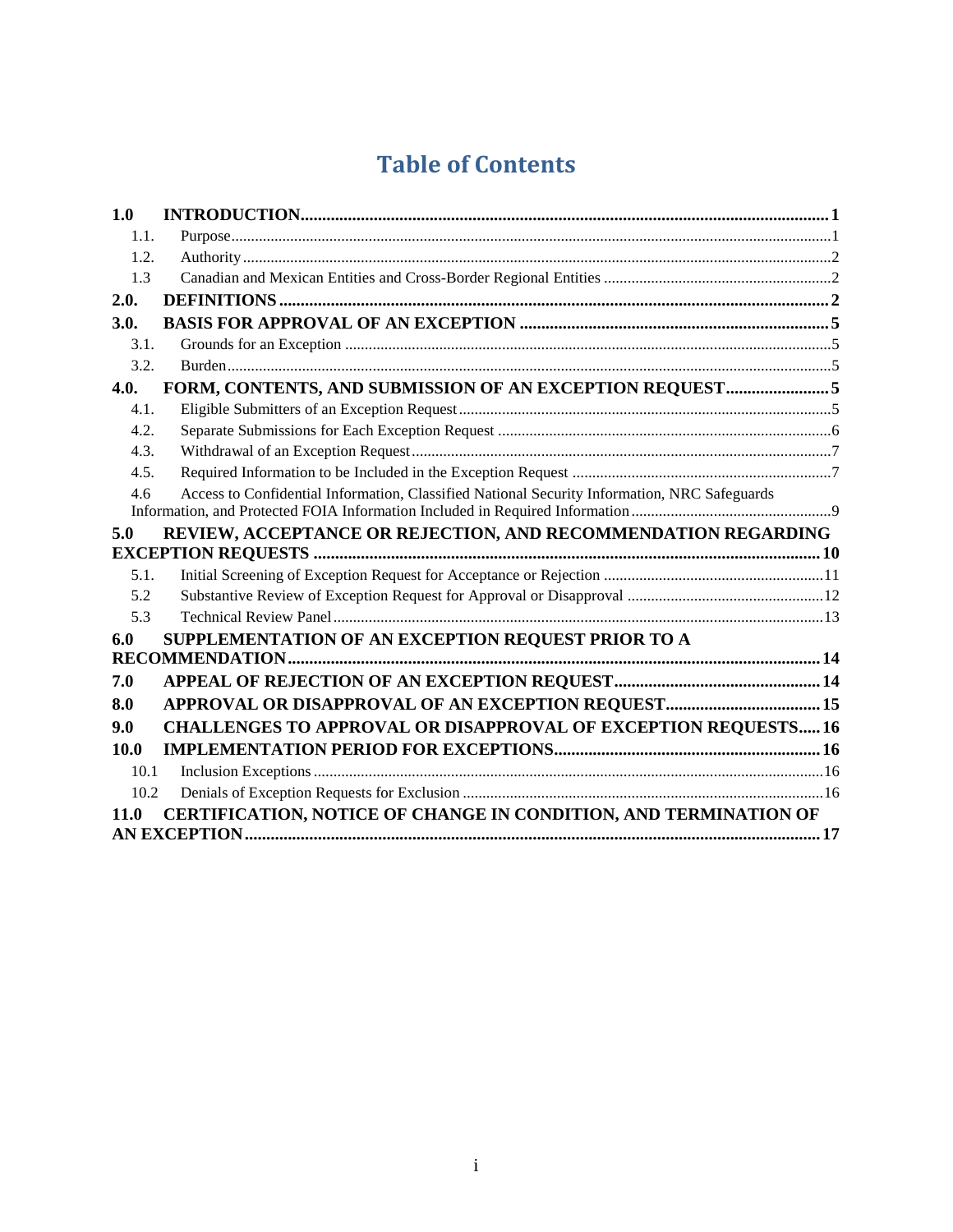# **Table of Contents**

| 1.0  |                                                                                              |  |
|------|----------------------------------------------------------------------------------------------|--|
| 1.1. |                                                                                              |  |
| 1.2. |                                                                                              |  |
| 1.3  |                                                                                              |  |
| 2.0. |                                                                                              |  |
| 3.0. |                                                                                              |  |
| 3.1. |                                                                                              |  |
| 3.2. |                                                                                              |  |
| 4.0. | FORM, CONTENTS, AND SUBMISSION OF AN EXCEPTION REQUEST5                                      |  |
| 4.1. |                                                                                              |  |
| 4.2. |                                                                                              |  |
| 4.3. |                                                                                              |  |
| 4.5. |                                                                                              |  |
| 4.6  | Access to Confidential Information, Classified National Security Information, NRC Safeguards |  |
|      |                                                                                              |  |
| 5.0  |                                                                                              |  |
|      | REVIEW, ACCEPTANCE OR REJECTION, AND RECOMMENDATION REGARDING                                |  |
| 5.1. |                                                                                              |  |
| 5.2  |                                                                                              |  |
| 5.3  |                                                                                              |  |
| 6.0  | SUPPLEMENTATION OF AN EXCEPTION REQUEST PRIOR TO A                                           |  |
|      |                                                                                              |  |
| 7.0  |                                                                                              |  |
| 8.0  | APPROVAL OR DISAPPROVAL OF AN EXCEPTION REQUEST 15                                           |  |
| 9.0  | <b>CHALLENGES TO APPROVAL OR DISAPPROVAL OF EXCEPTION REQUESTS16</b>                         |  |
| 10.0 |                                                                                              |  |
| 10.1 |                                                                                              |  |
| 10.2 |                                                                                              |  |
| 11.0 | CERTIFICATION, NOTICE OF CHANGE IN CONDITION, AND TERMINATION OF                             |  |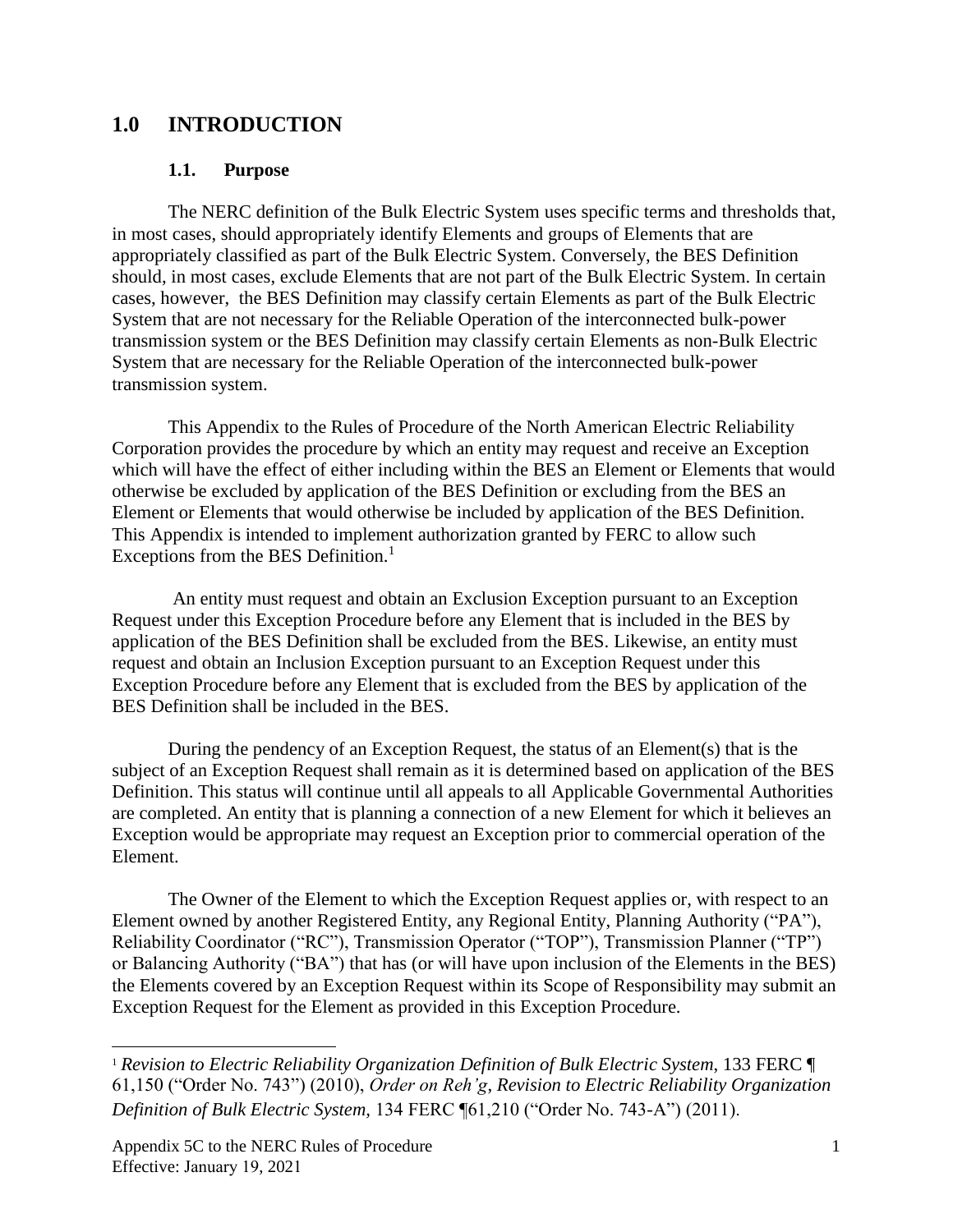## <span id="page-2-1"></span><span id="page-2-0"></span>**1.0 INTRODUCTION**

#### **1.1. Purpose**

The NERC definition of the Bulk Electric System uses specific terms and thresholds that, in most cases, should appropriately identify Elements and groups of Elements that are appropriately classified as part of the Bulk Electric System. Conversely, the BES Definition should, in most cases, exclude Elements that are not part of the Bulk Electric System. In certain cases, however, the BES Definition may classify certain Elements as part of the Bulk Electric System that are not necessary for the Reliable Operation of the interconnected bulk-power transmission system or the BES Definition may classify certain Elements as non-Bulk Electric System that are necessary for the Reliable Operation of the interconnected bulk-power transmission system.

This Appendix to the Rules of Procedure of the North American Electric Reliability Corporation provides the procedure by which an entity may request and receive an Exception which will have the effect of either including within the BES an Element or Elements that would otherwise be excluded by application of the BES Definition or excluding from the BES an Element or Elements that would otherwise be included by application of the BES Definition. This Appendix is intended to implement authorization granted by FERC to allow such Exceptions from the BES Definition.<sup>1</sup>

An entity must request and obtain an Exclusion Exception pursuant to an Exception Request under this Exception Procedure before any Element that is included in the BES by application of the BES Definition shall be excluded from the BES. Likewise, an entity must request and obtain an Inclusion Exception pursuant to an Exception Request under this Exception Procedure before any Element that is excluded from the BES by application of the BES Definition shall be included in the BES.

During the pendency of an Exception Request, the status of an Element(s) that is the subject of an Exception Request shall remain as it is determined based on application of the BES Definition. This status will continue until all appeals to all Applicable Governmental Authorities are completed. An entity that is planning a connection of a new Element for which it believes an Exception would be appropriate may request an Exception prior to commercial operation of the Element.

The Owner of the Element to which the Exception Request applies or, with respect to an Element owned by another Registered Entity, any Regional Entity, Planning Authority ("PA"), Reliability Coordinator ("RC"), Transmission Operator ("TOP"), Transmission Planner ("TP") or Balancing Authority ("BA") that has (or will have upon inclusion of the Elements in the BES) the Elements covered by an Exception Request within its Scope of Responsibility may submit an Exception Request for the Element as provided in this Exception Procedure.

<sup>1</sup> *Revision to Electric Reliability Organization Definition of Bulk Electric System*, 133 FERC ¶ 61,150 ("Order No. 743") (2010), *Order on Reh'g*, *Revision to Electric Reliability Organization Definition of Bulk Electric System,* 134 FERC ¶61,210 ("Order No. 743-A") (2011).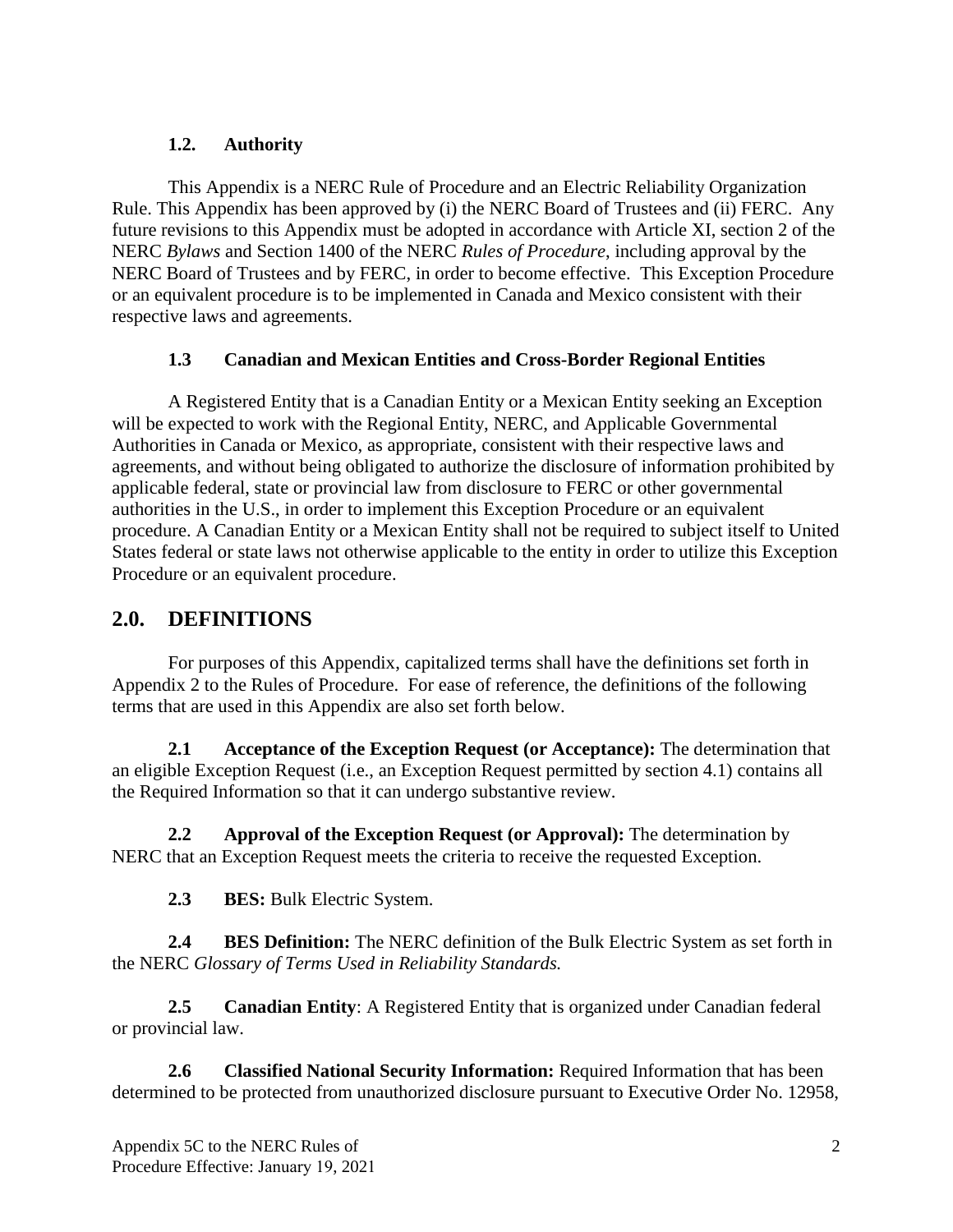## **1.2. Authority**

<span id="page-3-0"></span>This Appendix is a NERC Rule of Procedure and an Electric Reliability Organization Rule. This Appendix has been approved by (i) the NERC Board of Trustees and (ii) FERC. Any future revisions to this Appendix must be adopted in accordance with Article XI, section 2 of the NERC *Bylaws* and Section 1400 of the NERC *Rules of Procedure*, including approval by the NERC Board of Trustees and by FERC, in order to become effective. This Exception Procedure or an equivalent procedure is to be implemented in Canada and Mexico consistent with their respective laws and agreements.

## **1.3 Canadian and Mexican Entities and Cross-Border Regional Entities**

<span id="page-3-1"></span>A Registered Entity that is a Canadian Entity or a Mexican Entity seeking an Exception will be expected to work with the Regional Entity, NERC, and Applicable Governmental Authorities in Canada or Mexico, as appropriate, consistent with their respective laws and agreements, and without being obligated to authorize the disclosure of information prohibited by applicable federal, state or provincial law from disclosure to FERC or other governmental authorities in the U.S., in order to implement this Exception Procedure or an equivalent procedure. A Canadian Entity or a Mexican Entity shall not be required to subject itself to United States federal or state laws not otherwise applicable to the entity in order to utilize this Exception Procedure or an equivalent procedure.

## <span id="page-3-2"></span>**2.0. DEFINITIONS**

For purposes of this Appendix, capitalized terms shall have the definitions set forth in Appendix 2 to the Rules of Procedure. For ease of reference, the definitions of the following terms that are used in this Appendix are also set forth below.

**2.1 Acceptance of the Exception Request (or Acceptance):** The determination that an eligible Exception Request (i.e., an Exception Request permitted by section 4.1) contains all the Required Information so that it can undergo substantive review.

**2.2 Approval of the Exception Request (or Approval):** The determination by NERC that an Exception Request meets the criteria to receive the requested Exception.

**2.3 BES:** Bulk Electric System.

**2.4 BES Definition:** The NERC definition of the Bulk Electric System as set forth in the NERC *Glossary of Terms Used in Reliability Standards.*

**2.5 Canadian Entity**: A Registered Entity that is organized under Canadian federal or provincial law.

**2.6 Classified National Security Information:** Required Information that has been determined to be protected from unauthorized disclosure pursuant to Executive Order No. 12958,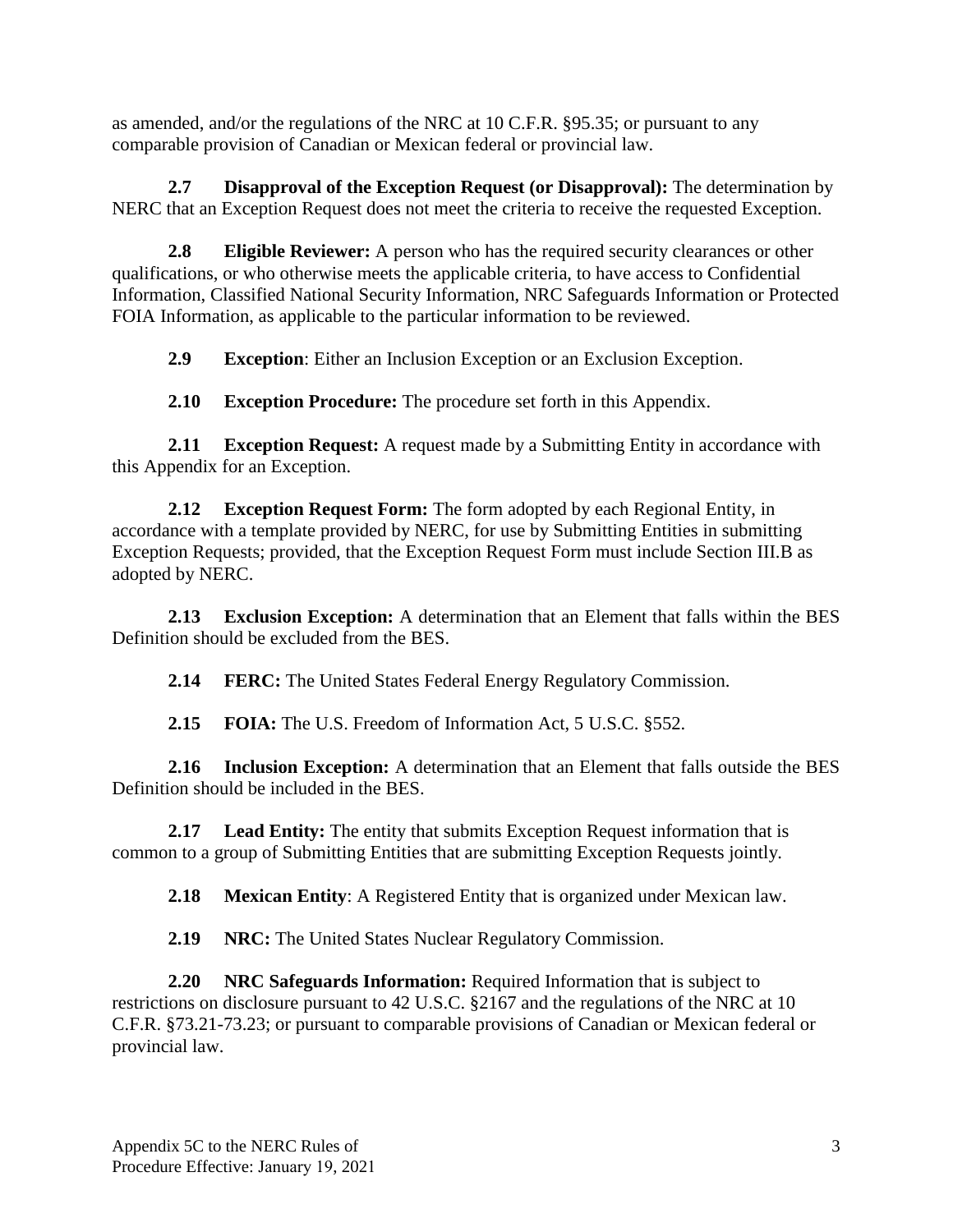as amended, and/or the regulations of the NRC at 10 C.F.R. §95.35; or pursuant to any comparable provision of Canadian or Mexican federal or provincial law.

**2.7 Disapproval of the Exception Request (or Disapproval):** The determination by NERC that an Exception Request does not meet the criteria to receive the requested Exception.

**2.8 Eligible Reviewer:** A person who has the required security clearances or other qualifications, or who otherwise meets the applicable criteria, to have access to Confidential Information, Classified National Security Information, NRC Safeguards Information or Protected FOIA Information, as applicable to the particular information to be reviewed.

**2.9 Exception**: Either an Inclusion Exception or an Exclusion Exception.

**2.10 Exception Procedure:** The procedure set forth in this Appendix.

**2.11 Exception Request:** A request made by a Submitting Entity in accordance with this Appendix for an Exception.

**2.12 Exception Request Form:** The form adopted by each Regional Entity, in accordance with a template provided by NERC, for use by Submitting Entities in submitting Exception Requests; provided, that the Exception Request Form must include Section III.B as adopted by NERC.

**2.13 Exclusion Exception:** A determination that an Element that falls within the BES Definition should be excluded from the BES.

**2.14 FERC:** The United States Federal Energy Regulatory Commission.

**2.15 FOIA:** The U.S. Freedom of Information Act, 5 U.S.C. §552.

**2.16 Inclusion Exception:** A determination that an Element that falls outside the BES Definition should be included in the BES.

**2.17 Lead Entity:** The entity that submits Exception Request information that is common to a group of Submitting Entities that are submitting Exception Requests jointly.

**2.18 Mexican Entity**: A Registered Entity that is organized under Mexican law.

**2.19 NRC:** The United States Nuclear Regulatory Commission.

**2.20 NRC Safeguards Information:** Required Information that is subject to restrictions on disclosure pursuant to 42 U.S.C. §2167 and the regulations of the NRC at 10 C.F.R. §73.21-73.23; or pursuant to comparable provisions of Canadian or Mexican federal or provincial law.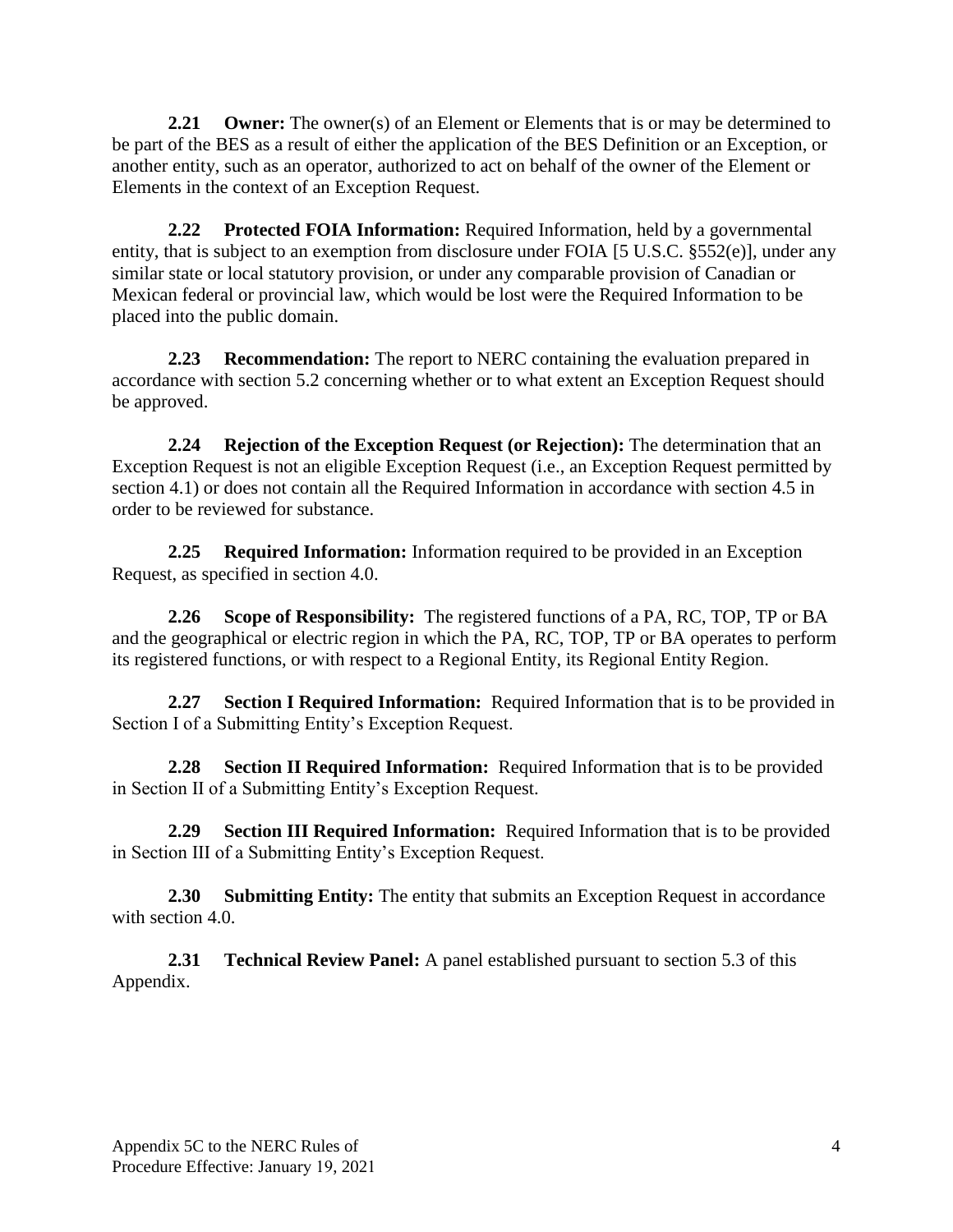**2.21 Owner:** The owner(s) of an Element or Elements that is or may be determined to be part of the BES as a result of either the application of the BES Definition or an Exception, or another entity, such as an operator, authorized to act on behalf of the owner of the Element or Elements in the context of an Exception Request.

**2.22 Protected FOIA Information:** Required Information, held by a governmental entity, that is subject to an exemption from disclosure under FOIA [5 U.S.C. §552(e)], under any similar state or local statutory provision, or under any comparable provision of Canadian or Mexican federal or provincial law, which would be lost were the Required Information to be placed into the public domain.

**2.23 Recommendation:** The report to NERC containing the evaluation prepared in accordance with section 5.2 concerning whether or to what extent an Exception Request should be approved.

**2.24 Rejection of the Exception Request (or Rejection):** The determination that an Exception Request is not an eligible Exception Request (i.e., an Exception Request permitted by section 4.1) or does not contain all the Required Information in accordance with section 4.5 in order to be reviewed for substance.

**2.25 Required Information:** Information required to be provided in an Exception Request, as specified in section 4.0.

**2.26 Scope of Responsibility:** The registered functions of a PA, RC, TOP, TP or BA and the geographical or electric region in which the PA, RC, TOP, TP or BA operates to perform its registered functions, or with respect to a Regional Entity, its Regional Entity Region.

**2.27 Section I Required Information:** Required Information that is to be provided in Section I of a Submitting Entity's Exception Request.

**2.28 Section II Required Information:** Required Information that is to be provided in Section II of a Submitting Entity's Exception Request.

**2.29 Section III Required Information:** Required Information that is to be provided in Section III of a Submitting Entity's Exception Request.

**2.30 Submitting Entity:** The entity that submits an Exception Request in accordance with section 4.0.

<span id="page-5-0"></span>**2.31 Technical Review Panel:** A panel established pursuant to section 5.3 of this Appendix.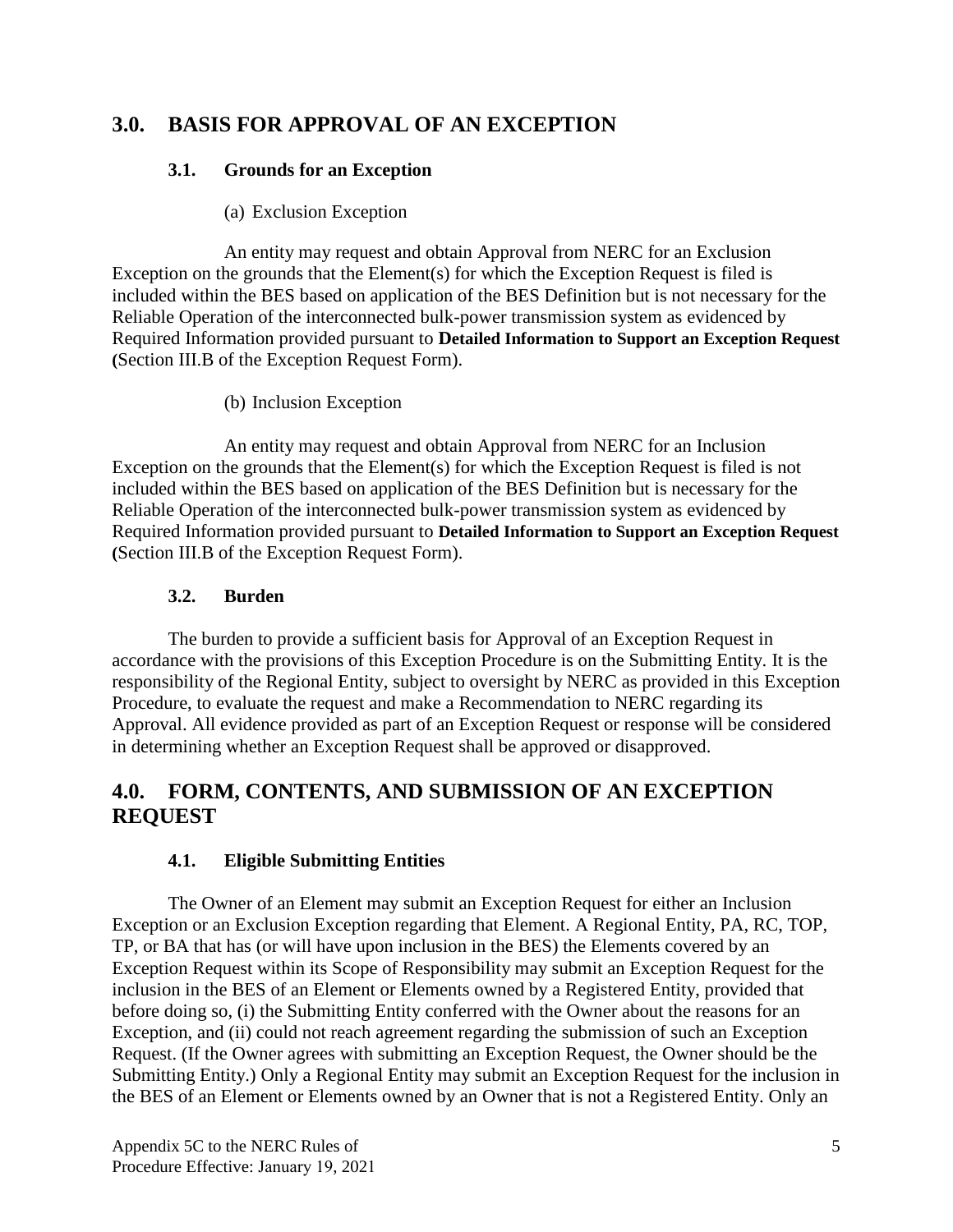## <span id="page-6-0"></span>**3.0. BASIS FOR APPROVAL OF AN EXCEPTION**

## **3.1. Grounds for an Exception**

## (a) Exclusion Exception

An entity may request and obtain Approval from NERC for an Exclusion Exception on the grounds that the Element(s) for which the Exception Request is filed is included within the BES based on application of the BES Definition but is not necessary for the Reliable Operation of the interconnected bulk-power transmission system as evidenced by Required Information provided pursuant to **Detailed Information to Support an Exception Request (**Section III.B of the Exception Request Form).

### (b) Inclusion Exception

An entity may request and obtain Approval from NERC for an Inclusion Exception on the grounds that the Element(s) for which the Exception Request is filed is not included within the BES based on application of the BES Definition but is necessary for the Reliable Operation of the interconnected bulk-power transmission system as evidenced by Required Information provided pursuant to **Detailed Information to Support an Exception Request (**Section III.B of the Exception Request Form).

## **3.2. Burden**

<span id="page-6-1"></span>The burden to provide a sufficient basis for Approval of an Exception Request in accordance with the provisions of this Exception Procedure is on the Submitting Entity. It is the responsibility of the Regional Entity, subject to oversight by NERC as provided in this Exception Procedure, to evaluate the request and make a Recommendation to NERC regarding its Approval. All evidence provided as part of an Exception Request or response will be considered in determining whether an Exception Request shall be approved or disapproved.

# <span id="page-6-2"></span>**4.0. FORM, CONTENTS, AND SUBMISSION OF AN EXCEPTION REQUEST**

## **4.1. Eligible Submitting Entities**

<span id="page-6-3"></span>The Owner of an Element may submit an Exception Request for either an Inclusion Exception or an Exclusion Exception regarding that Element. A Regional Entity, PA, RC, TOP, TP, or BA that has (or will have upon inclusion in the BES) the Elements covered by an Exception Request within its Scope of Responsibility may submit an Exception Request for the inclusion in the BES of an Element or Elements owned by a Registered Entity, provided that before doing so, (i) the Submitting Entity conferred with the Owner about the reasons for an Exception, and (ii) could not reach agreement regarding the submission of such an Exception Request. (If the Owner agrees with submitting an Exception Request, the Owner should be the Submitting Entity.) Only a Regional Entity may submit an Exception Request for the inclusion in the BES of an Element or Elements owned by an Owner that is not a Registered Entity. Only an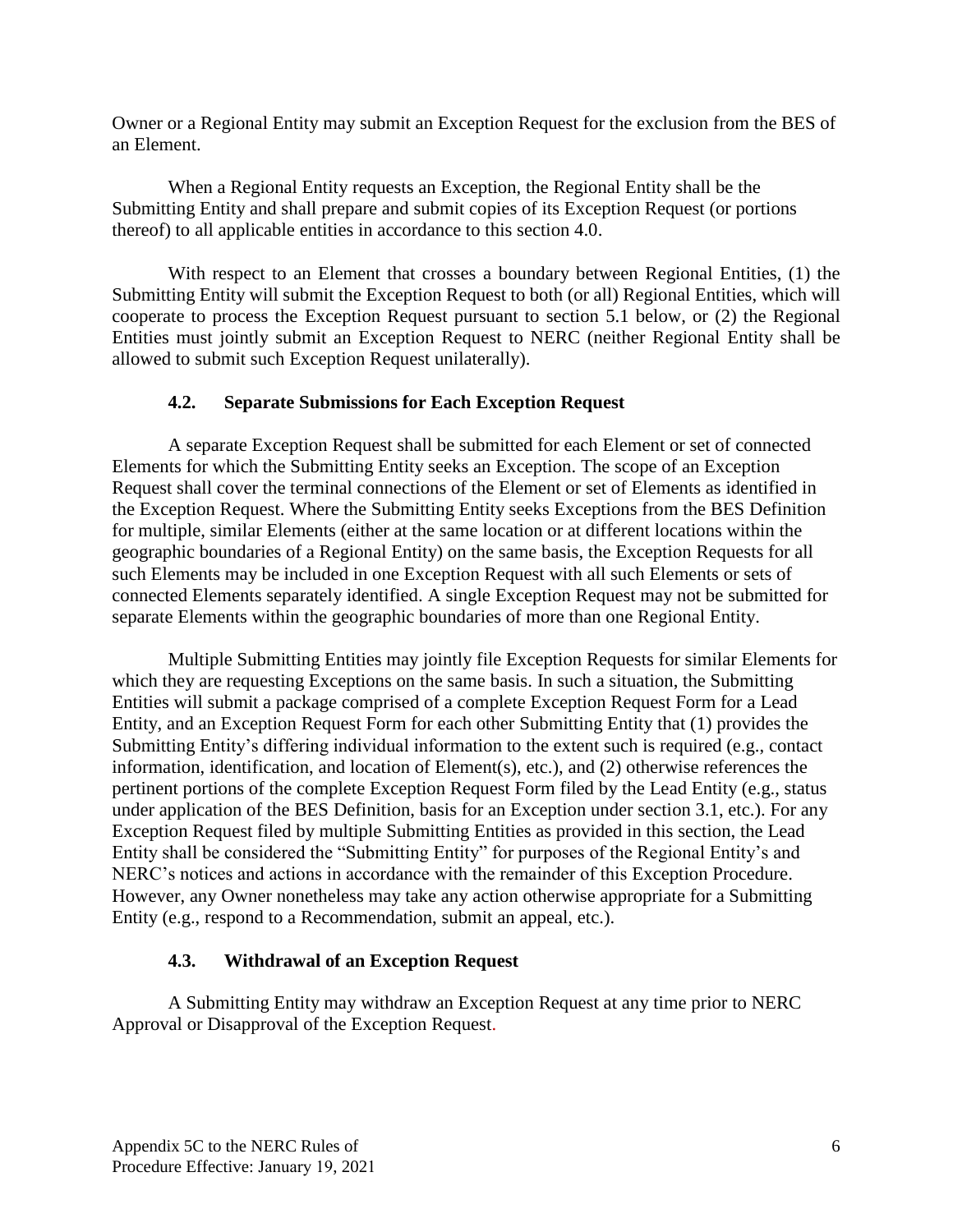Owner or a Regional Entity may submit an Exception Request for the exclusion from the BES of an Element.

When a Regional Entity requests an Exception, the Regional Entity shall be the Submitting Entity and shall prepare and submit copies of its Exception Request (or portions thereof) to all applicable entities in accordance to this section 4.0.

With respect to an Element that crosses a boundary between Regional Entities, (1) the Submitting Entity will submit the Exception Request to both (or all) Regional Entities, which will cooperate to process the Exception Request pursuant to section 5.1 below, or (2) the Regional Entities must jointly submit an Exception Request to NERC (neither Regional Entity shall be allowed to submit such Exception Request unilaterally).

### **4.2. Separate Submissions for Each Exception Request**

<span id="page-7-0"></span>A separate Exception Request shall be submitted for each Element or set of connected Elements for which the Submitting Entity seeks an Exception. The scope of an Exception Request shall cover the terminal connections of the Element or set of Elements as identified in the Exception Request. Where the Submitting Entity seeks Exceptions from the BES Definition for multiple, similar Elements (either at the same location or at different locations within the geographic boundaries of a Regional Entity) on the same basis, the Exception Requests for all such Elements may be included in one Exception Request with all such Elements or sets of connected Elements separately identified. A single Exception Request may not be submitted for separate Elements within the geographic boundaries of more than one Regional Entity.

Multiple Submitting Entities may jointly file Exception Requests for similar Elements for which they are requesting Exceptions on the same basis. In such a situation, the Submitting Entities will submit a package comprised of a complete Exception Request Form for a Lead Entity, and an Exception Request Form for each other Submitting Entity that (1) provides the Submitting Entity's differing individual information to the extent such is required (e.g., contact information, identification, and location of Element(s), etc.), and (2) otherwise references the pertinent portions of the complete Exception Request Form filed by the Lead Entity (e.g., status under application of the BES Definition, basis for an Exception under section 3.1, etc.). For any Exception Request filed by multiple Submitting Entities as provided in this section, the Lead Entity shall be considered the "Submitting Entity" for purposes of the Regional Entity's and NERC's notices and actions in accordance with the remainder of this Exception Procedure. However, any Owner nonetheless may take any action otherwise appropriate for a Submitting Entity (e.g., respond to a Recommendation, submit an appeal, etc.).

## **4.3. Withdrawal of an Exception Request**

<span id="page-7-1"></span>A Submitting Entity may withdraw an Exception Request at any time prior to NERC Approval or Disapproval of the Exception Request.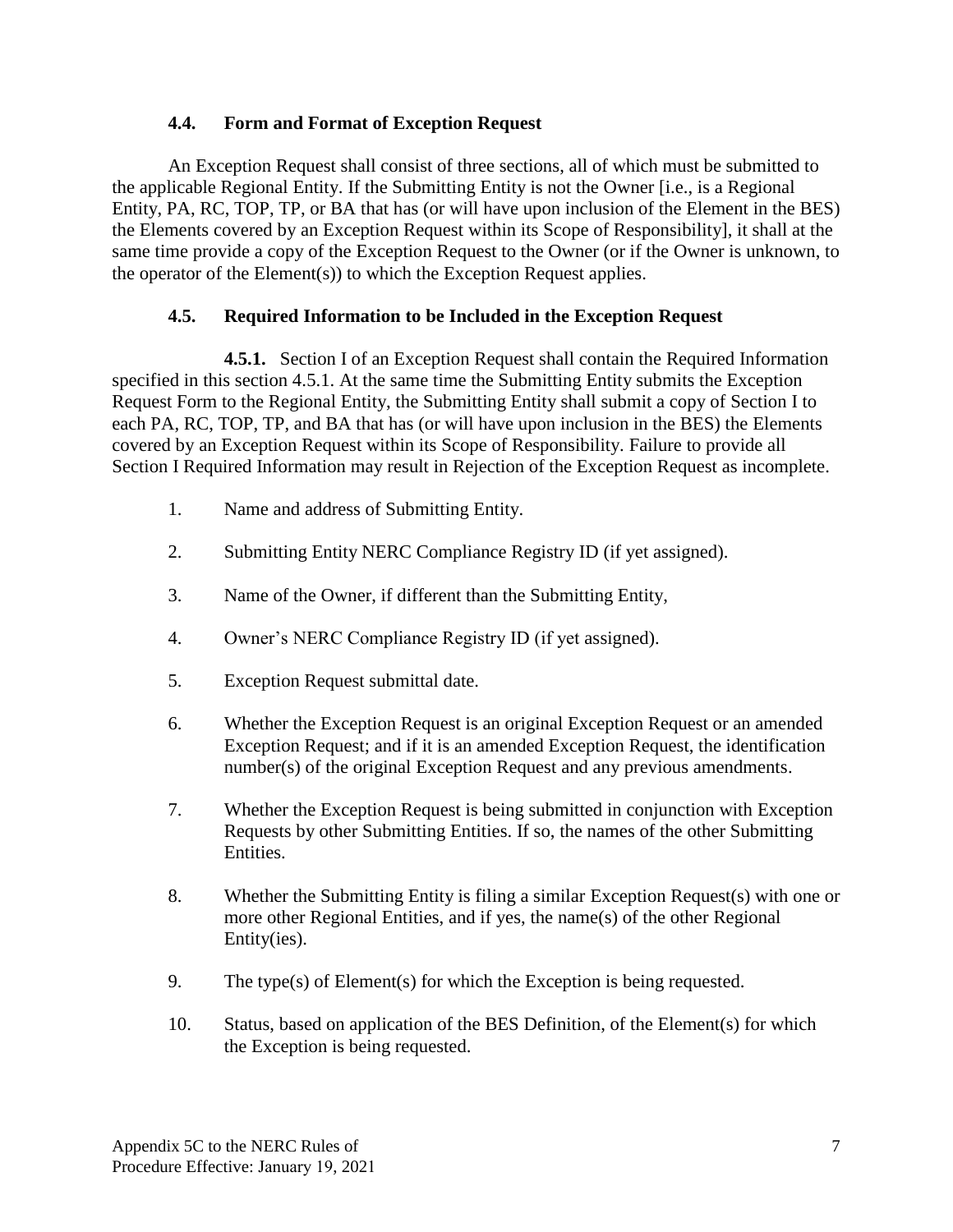### **4.4. Form and Format of Exception Request**

An Exception Request shall consist of three sections, all of which must be submitted to the applicable Regional Entity. If the Submitting Entity is not the Owner [i.e., is a Regional Entity, PA, RC, TOP, TP, or BA that has (or will have upon inclusion of the Element in the BES) the Elements covered by an Exception Request within its Scope of Responsibility], it shall at the same time provide a copy of the Exception Request to the Owner (or if the Owner is unknown, to the operator of the Element(s)) to which the Exception Request applies.

## **4.5. Required Information to be Included in the Exception Request**

<span id="page-8-0"></span>**4.5.1.** Section I of an Exception Request shall contain the Required Information specified in this section 4.5.1. At the same time the Submitting Entity submits the Exception Request Form to the Regional Entity, the Submitting Entity shall submit a copy of Section I to each PA, RC, TOP, TP, and BA that has (or will have upon inclusion in the BES) the Elements covered by an Exception Request within its Scope of Responsibility. Failure to provide all Section I Required Information may result in Rejection of the Exception Request as incomplete.

- 1. Name and address of Submitting Entity.
- 2. Submitting Entity NERC Compliance Registry ID (if yet assigned).
- 3. Name of the Owner, if different than the Submitting Entity,
- 4. Owner's NERC Compliance Registry ID (if yet assigned).
- 5. Exception Request submittal date.
- 6. Whether the Exception Request is an original Exception Request or an amended Exception Request; and if it is an amended Exception Request, the identification number(s) of the original Exception Request and any previous amendments.
- 7. Whether the Exception Request is being submitted in conjunction with Exception Requests by other Submitting Entities. If so, the names of the other Submitting Entities.
- 8. Whether the Submitting Entity is filing a similar Exception Request(s) with one or more other Regional Entities, and if yes, the name(s) of the other Regional Entity(ies).
- 9. The type(s) of Element(s) for which the Exception is being requested.
- 10. Status, based on application of the BES Definition, of the Element(s) for which the Exception is being requested.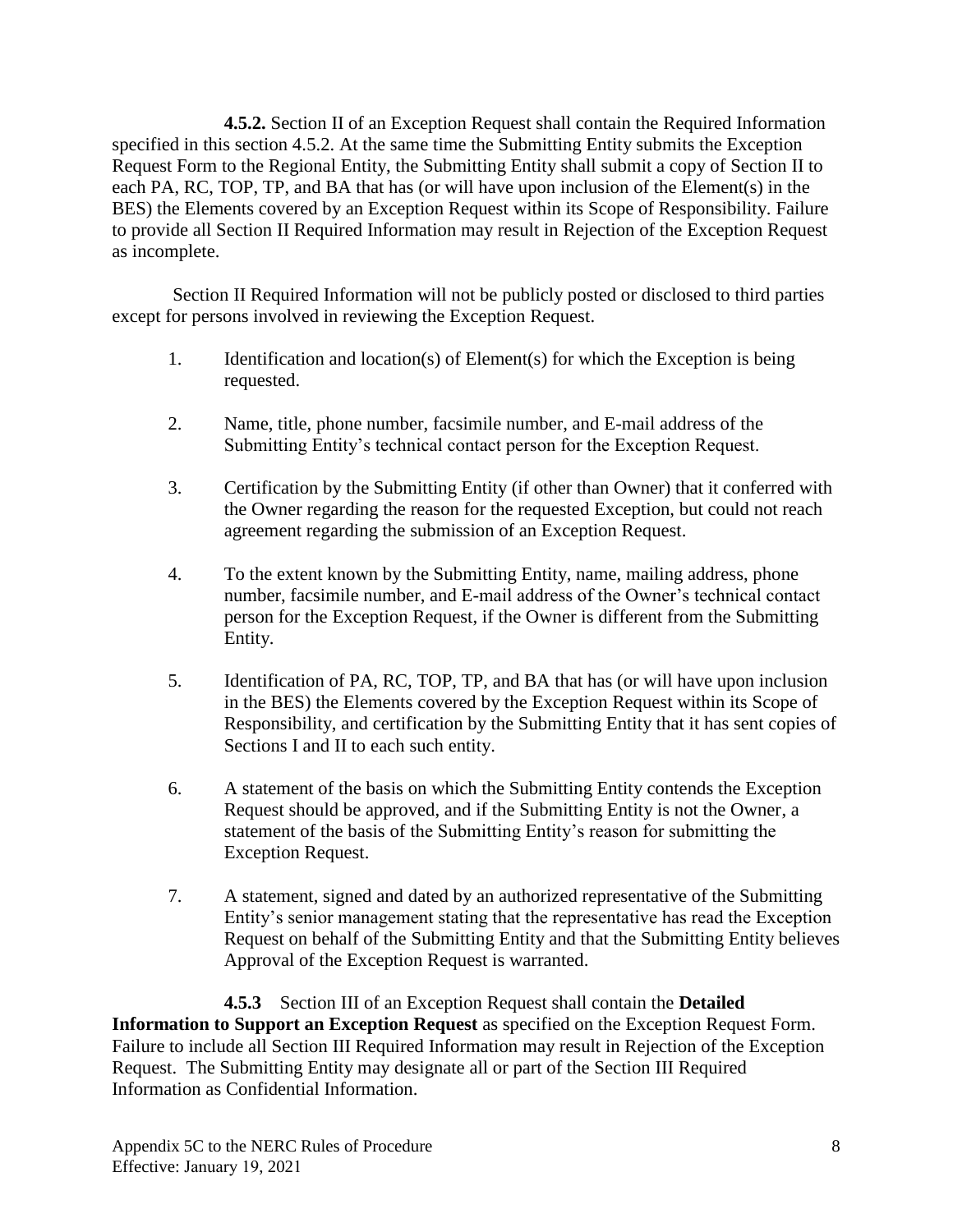**4.5.2.** Section II of an Exception Request shall contain the Required Information specified in this section 4.5.2. At the same time the Submitting Entity submits the Exception Request Form to the Regional Entity, the Submitting Entity shall submit a copy of Section II to each PA, RC, TOP, TP, and BA that has (or will have upon inclusion of the Element(s) in the BES) the Elements covered by an Exception Request within its Scope of Responsibility. Failure to provide all Section II Required Information may result in Rejection of the Exception Request as incomplete.

Section II Required Information will not be publicly posted or disclosed to third parties except for persons involved in reviewing the Exception Request.

- 1. Identification and location(s) of Element(s) for which the Exception is being requested.
- 2. Name, title, phone number, facsimile number, and E-mail address of the Submitting Entity's technical contact person for the Exception Request.
- 3. Certification by the Submitting Entity (if other than Owner) that it conferred with the Owner regarding the reason for the requested Exception, but could not reach agreement regarding the submission of an Exception Request.
- 4. To the extent known by the Submitting Entity, name, mailing address, phone number, facsimile number, and E-mail address of the Owner's technical contact person for the Exception Request, if the Owner is different from the Submitting Entity.
- 5. Identification of PA, RC, TOP, TP, and BA that has (or will have upon inclusion in the BES) the Elements covered by the Exception Request within its Scope of Responsibility, and certification by the Submitting Entity that it has sent copies of Sections I and II to each such entity.
- 6. A statement of the basis on which the Submitting Entity contends the Exception Request should be approved, and if the Submitting Entity is not the Owner, a statement of the basis of the Submitting Entity's reason for submitting the Exception Request.
- 7. A statement, signed and dated by an authorized representative of the Submitting Entity's senior management stating that the representative has read the Exception Request on behalf of the Submitting Entity and that the Submitting Entity believes Approval of the Exception Request is warranted.

**4.5.3** Section III of an Exception Request shall contain the **Detailed Information to Support an Exception Request** as specified on the Exception Request Form. Failure to include all Section III Required Information may result in Rejection of the Exception Request. The Submitting Entity may designate all or part of the Section III Required Information as Confidential Information.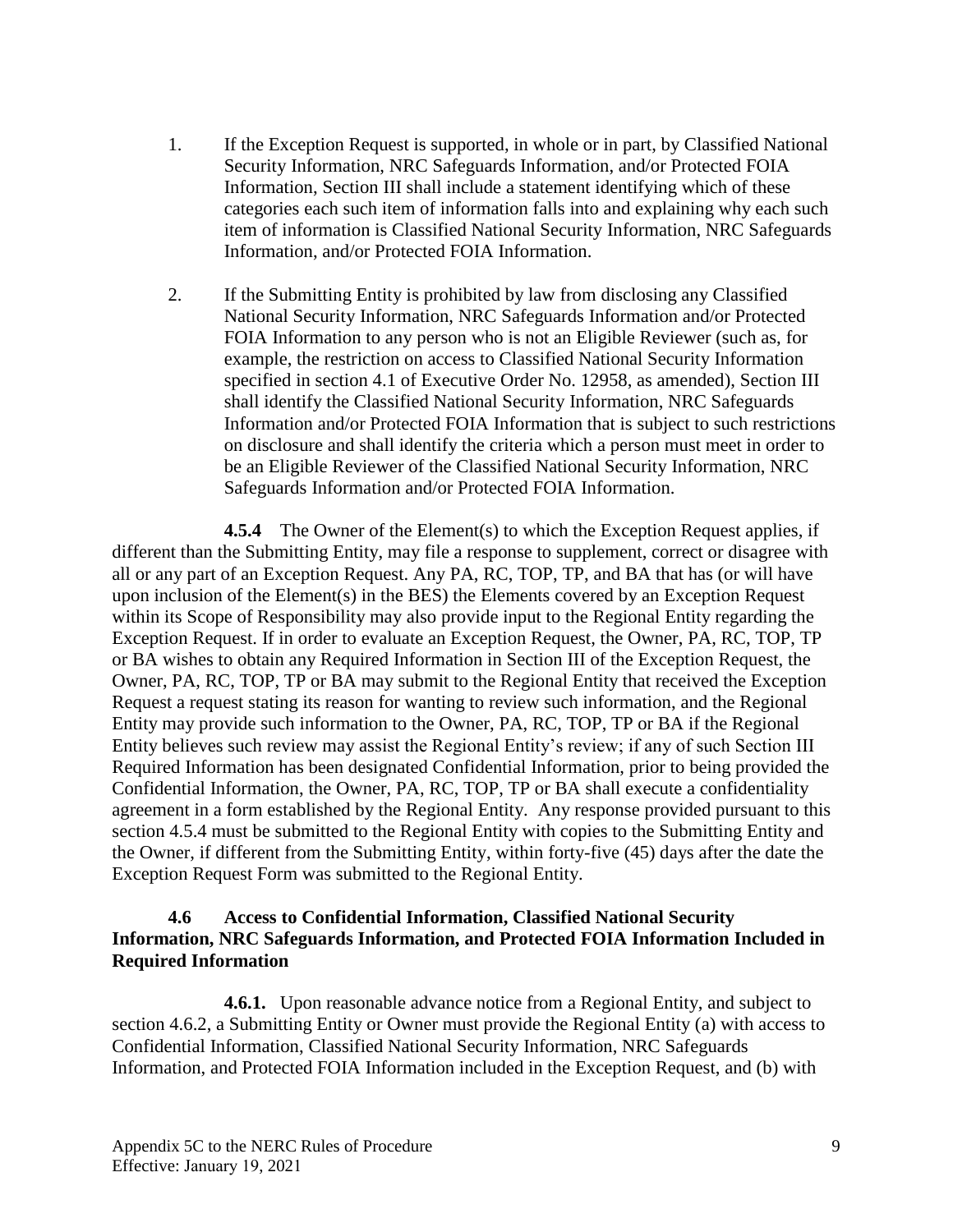- 1. If the Exception Request is supported, in whole or in part, by Classified National Security Information, NRC Safeguards Information, and/or Protected FOIA Information, Section III shall include a statement identifying which of these categories each such item of information falls into and explaining why each such item of information is Classified National Security Information, NRC Safeguards Information, and/or Protected FOIA Information.
- 2. If the Submitting Entity is prohibited by law from disclosing any Classified National Security Information, NRC Safeguards Information and/or Protected FOIA Information to any person who is not an Eligible Reviewer (such as, for example, the restriction on access to Classified National Security Information specified in section 4.1 of Executive Order No. 12958, as amended), Section III shall identify the Classified National Security Information, NRC Safeguards Information and/or Protected FOIA Information that is subject to such restrictions on disclosure and shall identify the criteria which a person must meet in order to be an Eligible Reviewer of the Classified National Security Information, NRC Safeguards Information and/or Protected FOIA Information.

**4.5.4** The Owner of the Element(s) to which the Exception Request applies, if different than the Submitting Entity, may file a response to supplement, correct or disagree with all or any part of an Exception Request. Any PA, RC, TOP, TP, and BA that has (or will have upon inclusion of the Element(s) in the BES) the Elements covered by an Exception Request within its Scope of Responsibility may also provide input to the Regional Entity regarding the Exception Request. If in order to evaluate an Exception Request, the Owner, PA, RC, TOP, TP or BA wishes to obtain any Required Information in Section III of the Exception Request, the Owner, PA, RC, TOP, TP or BA may submit to the Regional Entity that received the Exception Request a request stating its reason for wanting to review such information, and the Regional Entity may provide such information to the Owner, PA, RC, TOP, TP or BA if the Regional Entity believes such review may assist the Regional Entity's review; if any of such Section III Required Information has been designated Confidential Information, prior to being provided the Confidential Information, the Owner, PA, RC, TOP, TP or BA shall execute a confidentiality agreement in a form established by the Regional Entity. Any response provided pursuant to this section 4.5.4 must be submitted to the Regional Entity with copies to the Submitting Entity and the Owner, if different from the Submitting Entity, within forty-five (45) days after the date the Exception Request Form was submitted to the Regional Entity.

#### <span id="page-10-0"></span>**4.6 Access to Confidential Information, Classified National Security Information, NRC Safeguards Information, and Protected FOIA Information Included in Required Information**

**4.6.1.** Upon reasonable advance notice from a Regional Entity, and subject to section 4.6.2, a Submitting Entity or Owner must provide the Regional Entity (a) with access to Confidential Information, Classified National Security Information, NRC Safeguards Information, and Protected FOIA Information included in the Exception Request, and (b) with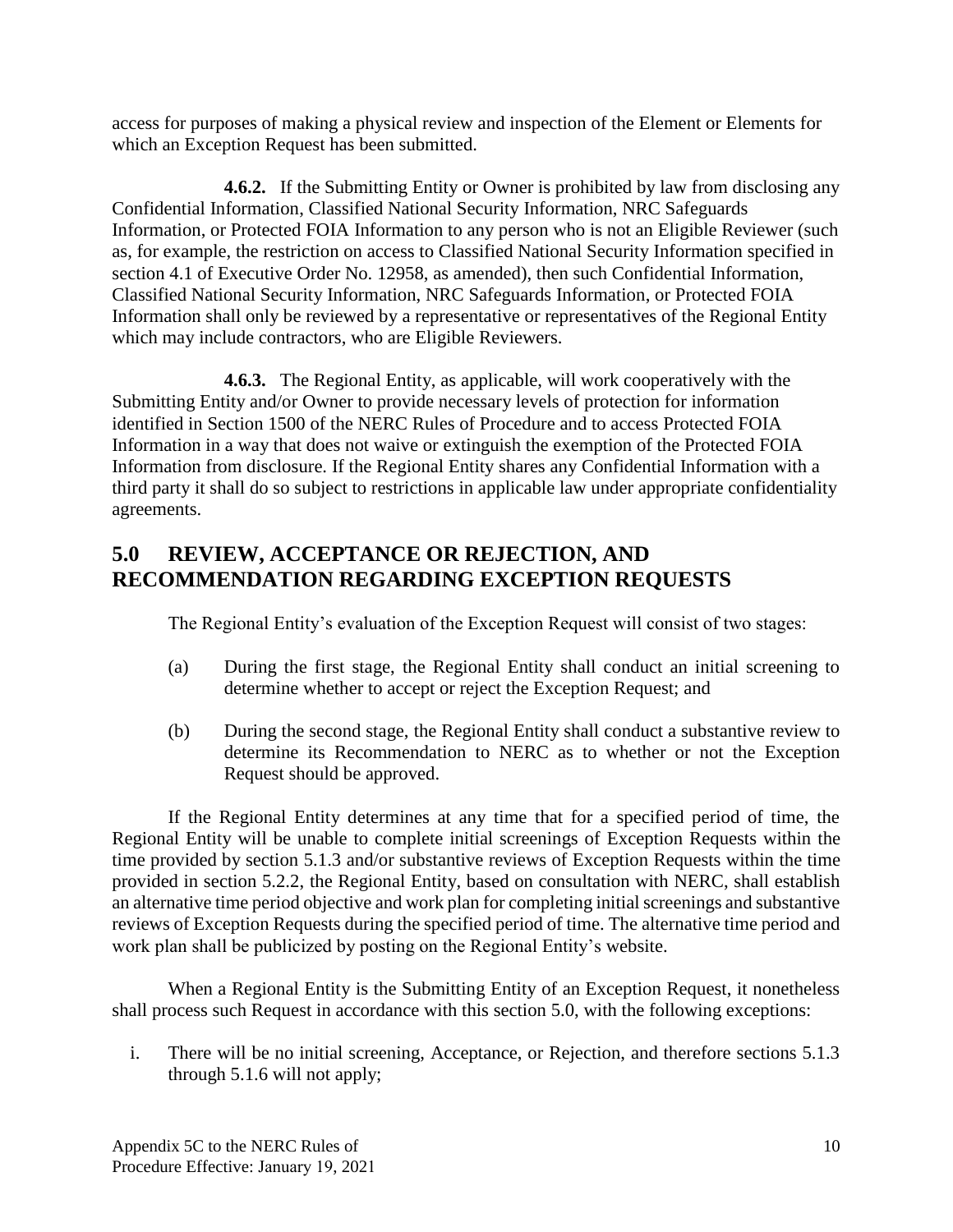access for purposes of making a physical review and inspection of the Element or Elements for which an Exception Request has been submitted.

**4.6.2.** If the Submitting Entity or Owner is prohibited by law from disclosing any Confidential Information, Classified National Security Information, NRC Safeguards Information, or Protected FOIA Information to any person who is not an Eligible Reviewer (such as, for example, the restriction on access to Classified National Security Information specified in section 4.1 of Executive Order No. 12958, as amended), then such Confidential Information, Classified National Security Information, NRC Safeguards Information, or Protected FOIA Information shall only be reviewed by a representative or representatives of the Regional Entity which may include contractors, who are Eligible Reviewers.

**4.6.3.** The Regional Entity, as applicable, will work cooperatively with the Submitting Entity and/or Owner to provide necessary levels of protection for information identified in Section 1500 of the NERC Rules of Procedure and to access Protected FOIA Information in a way that does not waive or extinguish the exemption of the Protected FOIA Information from disclosure. If the Regional Entity shares any Confidential Information with a third party it shall do so subject to restrictions in applicable law under appropriate confidentiality agreements.

# <span id="page-11-0"></span>**5.0 REVIEW, ACCEPTANCE OR REJECTION, AND RECOMMENDATION REGARDING EXCEPTION REQUESTS**

The Regional Entity's evaluation of the Exception Request will consist of two stages:

- (a) During the first stage, the Regional Entity shall conduct an initial screening to determine whether to accept or reject the Exception Request; and
- (b) During the second stage, the Regional Entity shall conduct a substantive review to determine its Recommendation to NERC as to whether or not the Exception Request should be approved.

If the Regional Entity determines at any time that for a specified period of time, the Regional Entity will be unable to complete initial screenings of Exception Requests within the time provided by section 5.1.3 and/or substantive reviews of Exception Requests within the time provided in section 5.2.2, the Regional Entity, based on consultation with NERC, shall establish an alternative time period objective and work plan for completing initial screenings and substantive reviews of Exception Requests during the specified period of time. The alternative time period and work plan shall be publicized by posting on the Regional Entity's website.

When a Regional Entity is the Submitting Entity of an Exception Request, it nonetheless shall process such Request in accordance with this section 5.0, with the following exceptions:

i. There will be no initial screening, Acceptance, or Rejection, and therefore sections 5.1.3 through 5.1.6 will not apply;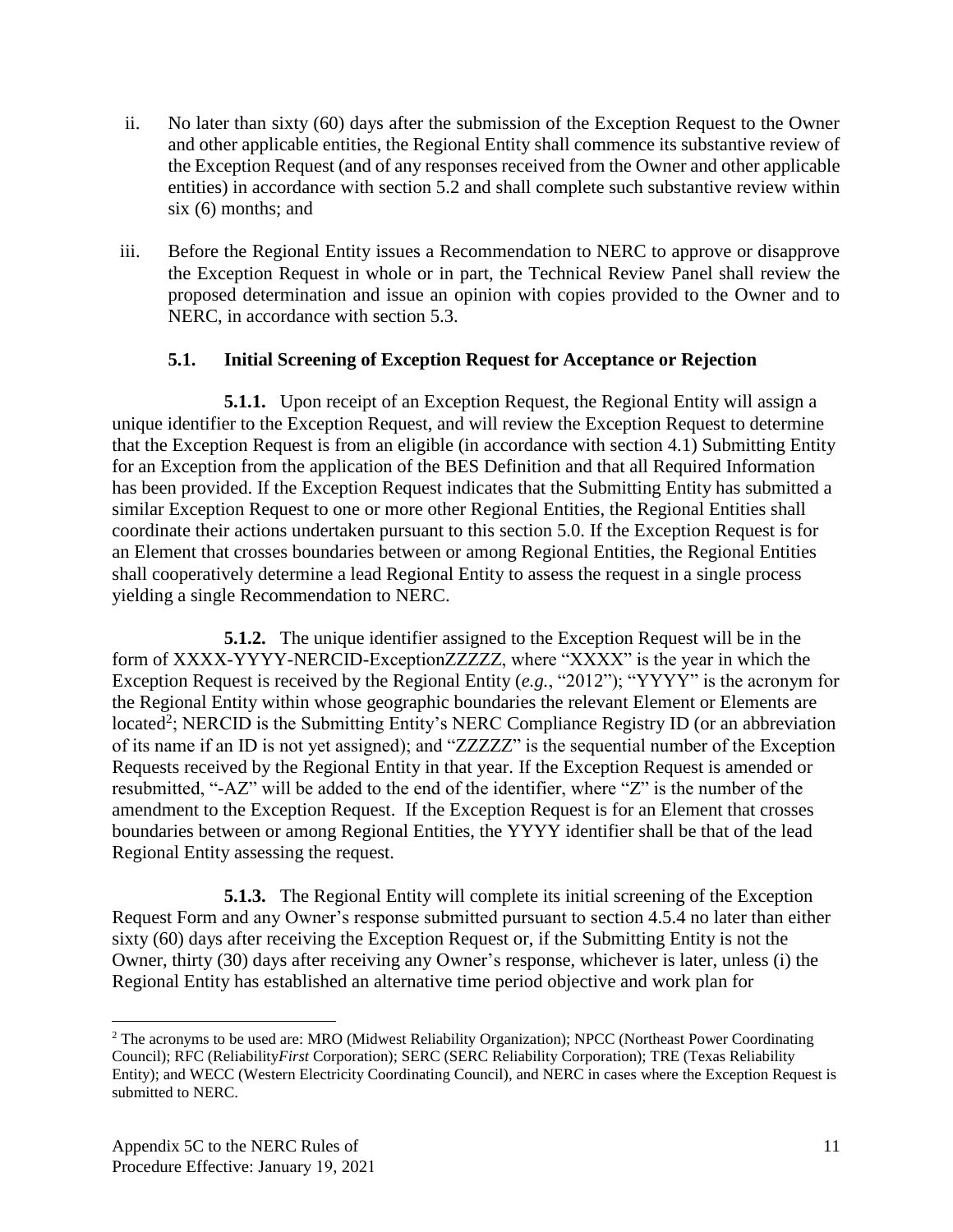- ii. No later than sixty (60) days after the submission of the Exception Request to the Owner and other applicable entities, the Regional Entity shall commence its substantive review of the Exception Request (and of any responses received from the Owner and other applicable entities) in accordance with section 5.2 and shall complete such substantive review within six (6) months; and
- iii. Before the Regional Entity issues a Recommendation to NERC to approve or disapprove the Exception Request in whole or in part, the Technical Review Panel shall review the proposed determination and issue an opinion with copies provided to the Owner and to NERC, in accordance with section 5.3.

### **5.1. Initial Screening of Exception Request for Acceptance or Rejection**

<span id="page-12-0"></span>**5.1.1.** Upon receipt of an Exception Request, the Regional Entity will assign a unique identifier to the Exception Request, and will review the Exception Request to determine that the Exception Request is from an eligible (in accordance with section 4.1) Submitting Entity for an Exception from the application of the BES Definition and that all Required Information has been provided. If the Exception Request indicates that the Submitting Entity has submitted a similar Exception Request to one or more other Regional Entities, the Regional Entities shall coordinate their actions undertaken pursuant to this section 5.0. If the Exception Request is for an Element that crosses boundaries between or among Regional Entities, the Regional Entities shall cooperatively determine a lead Regional Entity to assess the request in a single process yielding a single Recommendation to NERC.

**5.1.2.** The unique identifier assigned to the Exception Request will be in the form of XXXX-YYYY-NERCID-ExceptionZZZZZ, where "XXXX" is the year in which the Exception Request is received by the Regional Entity (*e.g.*, "2012"); "YYYY" is the acronym for the Regional Entity within whose geographic boundaries the relevant Element or Elements are located<sup>2</sup>; NERCID is the Submitting Entity's NERC Compliance Registry ID (or an abbreviation of its name if an ID is not yet assigned); and "ZZZZZ" is the sequential number of the Exception Requests received by the Regional Entity in that year. If the Exception Request is amended or resubmitted, "-AZ" will be added to the end of the identifier, where "Z" is the number of the amendment to the Exception Request. If the Exception Request is for an Element that crosses boundaries between or among Regional Entities, the YYYY identifier shall be that of the lead Regional Entity assessing the request.

**5.1.3.** The Regional Entity will complete its initial screening of the Exception Request Form and any Owner's response submitted pursuant to section 4.5.4 no later than either sixty (60) days after receiving the Exception Request or, if the Submitting Entity is not the Owner, thirty (30) days after receiving any Owner's response, whichever is later, unless (i) the Regional Entity has established an alternative time period objective and work plan for

<sup>2</sup> The acronyms to be used are: MRO (Midwest Reliability Organization); NPCC (Northeast Power Coordinating Council); RFC (Reliability*First* Corporation); SERC (SERC Reliability Corporation); TRE (Texas Reliability Entity); and WECC (Western Electricity Coordinating Council), and NERC in cases where the Exception Request is submitted to NERC.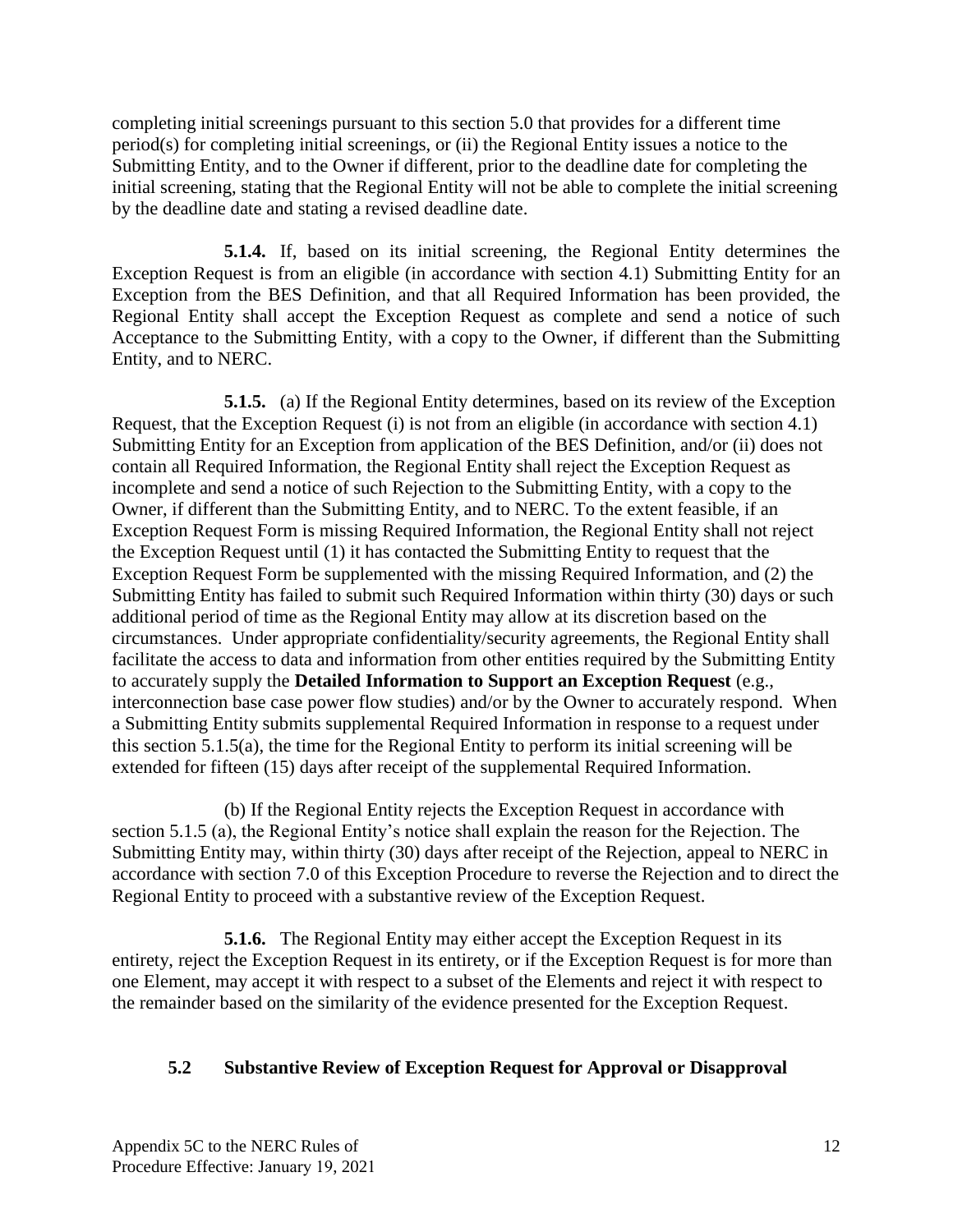completing initial screenings pursuant to this section 5.0 that provides for a different time period(s) for completing initial screenings, or (ii) the Regional Entity issues a notice to the Submitting Entity, and to the Owner if different, prior to the deadline date for completing the initial screening, stating that the Regional Entity will not be able to complete the initial screening by the deadline date and stating a revised deadline date.

**5.1.4.** If, based on its initial screening, the Regional Entity determines the Exception Request is from an eligible (in accordance with section 4.1) Submitting Entity for an Exception from the BES Definition, and that all Required Information has been provided, the Regional Entity shall accept the Exception Request as complete and send a notice of such Acceptance to the Submitting Entity, with a copy to the Owner, if different than the Submitting Entity, and to NERC.

**5.1.5.** (a) If the Regional Entity determines, based on its review of the Exception Request, that the Exception Request (i) is not from an eligible (in accordance with section 4.1) Submitting Entity for an Exception from application of the BES Definition, and/or (ii) does not contain all Required Information, the Regional Entity shall reject the Exception Request as incomplete and send a notice of such Rejection to the Submitting Entity, with a copy to the Owner, if different than the Submitting Entity, and to NERC. To the extent feasible, if an Exception Request Form is missing Required Information, the Regional Entity shall not reject the Exception Request until (1) it has contacted the Submitting Entity to request that the Exception Request Form be supplemented with the missing Required Information, and (2) the Submitting Entity has failed to submit such Required Information within thirty (30) days or such additional period of time as the Regional Entity may allow at its discretion based on the circumstances. Under appropriate confidentiality/security agreements, the Regional Entity shall facilitate the access to data and information from other entities required by the Submitting Entity to accurately supply the **Detailed Information to Support an Exception Request** (e.g., interconnection base case power flow studies) and/or by the Owner to accurately respond. When a Submitting Entity submits supplemental Required Information in response to a request under this section 5.1.5(a), the time for the Regional Entity to perform its initial screening will be extended for fifteen (15) days after receipt of the supplemental Required Information.

(b) If the Regional Entity rejects the Exception Request in accordance with section 5.1.5 (a), the Regional Entity's notice shall explain the reason for the Rejection. The Submitting Entity may, within thirty (30) days after receipt of the Rejection, appeal to NERC in accordance with section 7.0 of this Exception Procedure to reverse the Rejection and to direct the Regional Entity to proceed with a substantive review of the Exception Request.

**5.1.6.** The Regional Entity may either accept the Exception Request in its entirety, reject the Exception Request in its entirety, or if the Exception Request is for more than one Element, may accept it with respect to a subset of the Elements and reject it with respect to the remainder based on the similarity of the evidence presented for the Exception Request.

#### <span id="page-13-0"></span>**5.2 Substantive Review of Exception Request for Approval or Disapproval**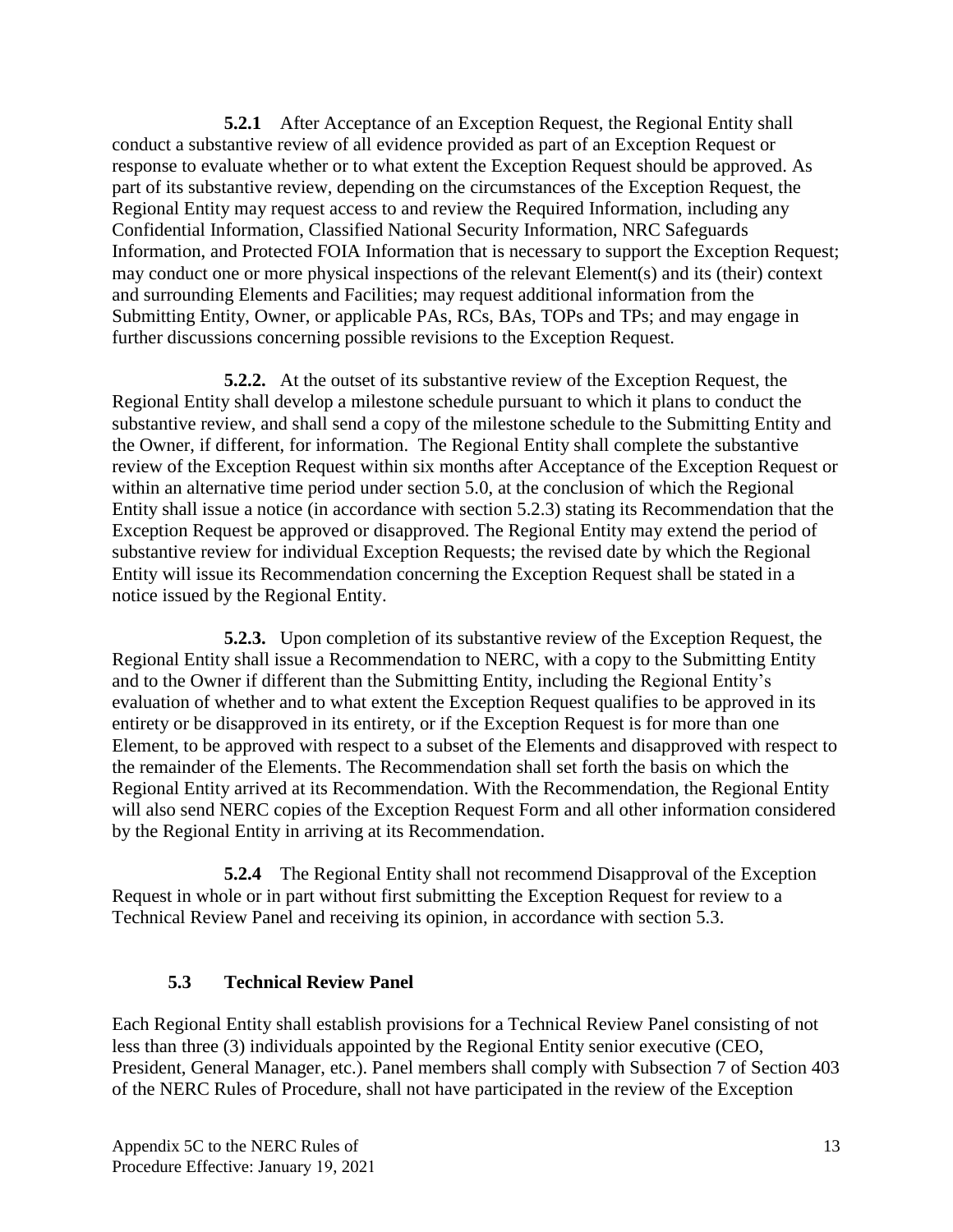**5.2.1** After Acceptance of an Exception Request, the Regional Entity shall conduct a substantive review of all evidence provided as part of an Exception Request or response to evaluate whether or to what extent the Exception Request should be approved. As part of its substantive review, depending on the circumstances of the Exception Request, the Regional Entity may request access to and review the Required Information, including any Confidential Information, Classified National Security Information, NRC Safeguards Information, and Protected FOIA Information that is necessary to support the Exception Request; may conduct one or more physical inspections of the relevant Element(s) and its (their) context and surrounding Elements and Facilities; may request additional information from the Submitting Entity, Owner, or applicable PAs, RCs, BAs, TOPs and TPs; and may engage in further discussions concerning possible revisions to the Exception Request.

**5.2.2.** At the outset of its substantive review of the Exception Request, the Regional Entity shall develop a milestone schedule pursuant to which it plans to conduct the substantive review, and shall send a copy of the milestone schedule to the Submitting Entity and the Owner, if different, for information. The Regional Entity shall complete the substantive review of the Exception Request within six months after Acceptance of the Exception Request or within an alternative time period under section 5.0, at the conclusion of which the Regional Entity shall issue a notice (in accordance with section 5.2.3) stating its Recommendation that the Exception Request be approved or disapproved. The Regional Entity may extend the period of substantive review for individual Exception Requests; the revised date by which the Regional Entity will issue its Recommendation concerning the Exception Request shall be stated in a notice issued by the Regional Entity.

**5.2.3.** Upon completion of its substantive review of the Exception Request, the Regional Entity shall issue a Recommendation to NERC, with a copy to the Submitting Entity and to the Owner if different than the Submitting Entity, including the Regional Entity's evaluation of whether and to what extent the Exception Request qualifies to be approved in its entirety or be disapproved in its entirety, or if the Exception Request is for more than one Element, to be approved with respect to a subset of the Elements and disapproved with respect to the remainder of the Elements. The Recommendation shall set forth the basis on which the Regional Entity arrived at its Recommendation. With the Recommendation, the Regional Entity will also send NERC copies of the Exception Request Form and all other information considered by the Regional Entity in arriving at its Recommendation.

**5.2.4** The Regional Entity shall not recommend Disapproval of the Exception Request in whole or in part without first submitting the Exception Request for review to a Technical Review Panel and receiving its opinion, in accordance with section 5.3.

### **5.3 Technical Review Panel**

<span id="page-14-0"></span>Each Regional Entity shall establish provisions for a Technical Review Panel consisting of not less than three (3) individuals appointed by the Regional Entity senior executive (CEO, President, General Manager, etc.). Panel members shall comply with Subsection 7 of Section 403 of the NERC Rules of Procedure, shall not have participated in the review of the Exception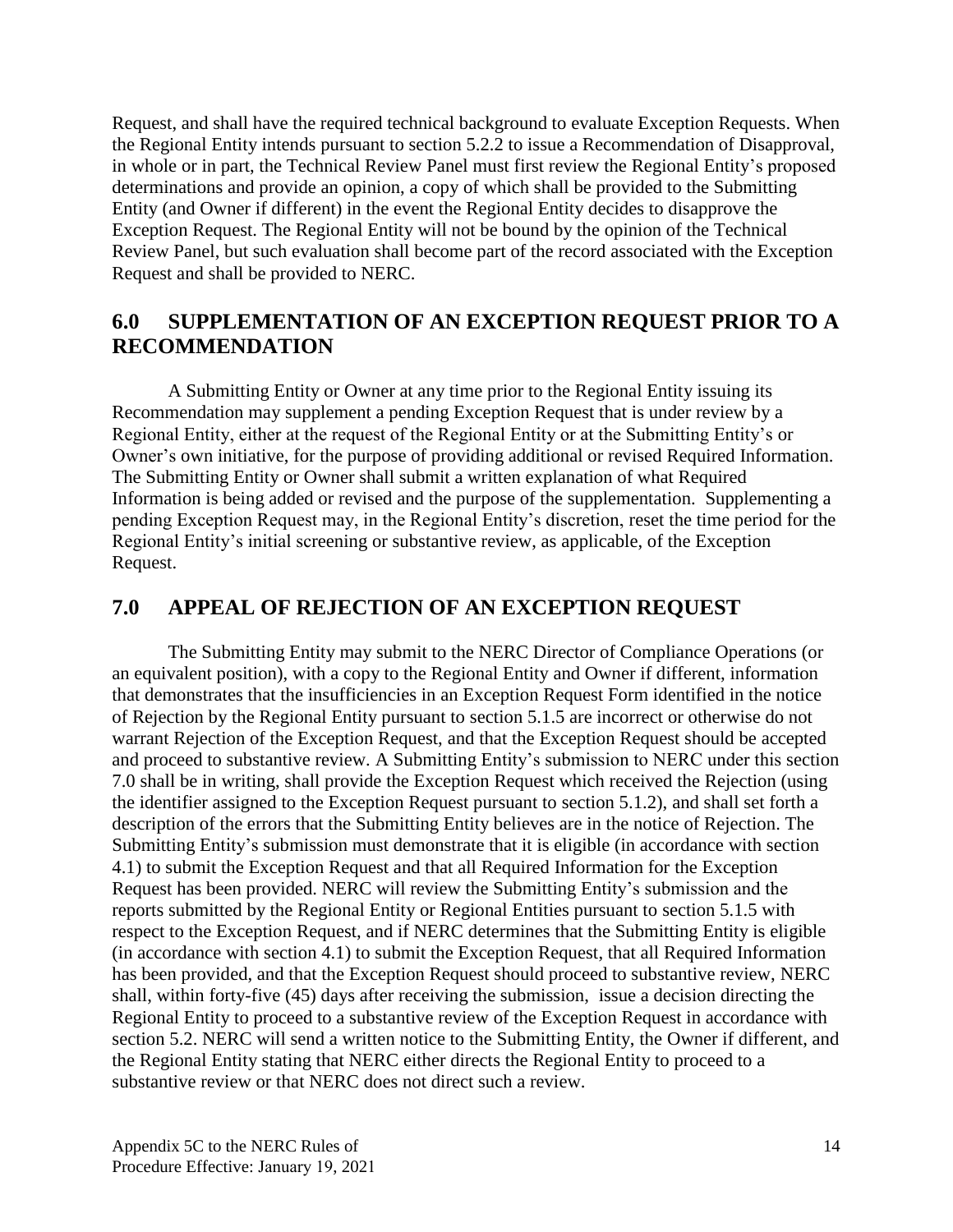Request, and shall have the required technical background to evaluate Exception Requests. When the Regional Entity intends pursuant to section 5.2.2 to issue a Recommendation of Disapproval, in whole or in part, the Technical Review Panel must first review the Regional Entity's proposed determinations and provide an opinion, a copy of which shall be provided to the Submitting Entity (and Owner if different) in the event the Regional Entity decides to disapprove the Exception Request. The Regional Entity will not be bound by the opinion of the Technical Review Panel, but such evaluation shall become part of the record associated with the Exception Request and shall be provided to NERC.

## <span id="page-15-0"></span>**6.0 SUPPLEMENTATION OF AN EXCEPTION REQUEST PRIOR TO A RECOMMENDATION**

A Submitting Entity or Owner at any time prior to the Regional Entity issuing its Recommendation may supplement a pending Exception Request that is under review by a Regional Entity, either at the request of the Regional Entity or at the Submitting Entity's or Owner's own initiative, for the purpose of providing additional or revised Required Information. The Submitting Entity or Owner shall submit a written explanation of what Required Information is being added or revised and the purpose of the supplementation. Supplementing a pending Exception Request may, in the Regional Entity's discretion, reset the time period for the Regional Entity's initial screening or substantive review, as applicable, of the Exception Request.

## <span id="page-15-1"></span>**7.0 APPEAL OF REJECTION OF AN EXCEPTION REQUEST**

The Submitting Entity may submit to the NERC Director of Compliance Operations (or an equivalent position), with a copy to the Regional Entity and Owner if different, information that demonstrates that the insufficiencies in an Exception Request Form identified in the notice of Rejection by the Regional Entity pursuant to section 5.1.5 are incorrect or otherwise do not warrant Rejection of the Exception Request, and that the Exception Request should be accepted and proceed to substantive review. A Submitting Entity's submission to NERC under this section 7.0 shall be in writing, shall provide the Exception Request which received the Rejection (using the identifier assigned to the Exception Request pursuant to section 5.1.2), and shall set forth a description of the errors that the Submitting Entity believes are in the notice of Rejection. The Submitting Entity's submission must demonstrate that it is eligible (in accordance with section 4.1) to submit the Exception Request and that all Required Information for the Exception Request has been provided. NERC will review the Submitting Entity's submission and the reports submitted by the Regional Entity or Regional Entities pursuant to section 5.1.5 with respect to the Exception Request, and if NERC determines that the Submitting Entity is eligible (in accordance with section 4.1) to submit the Exception Request, that all Required Information has been provided, and that the Exception Request should proceed to substantive review, NERC shall, within forty-five (45) days after receiving the submission, issue a decision directing the Regional Entity to proceed to a substantive review of the Exception Request in accordance with section 5.2. NERC will send a written notice to the Submitting Entity, the Owner if different, and the Regional Entity stating that NERC either directs the Regional Entity to proceed to a substantive review or that NERC does not direct such a review.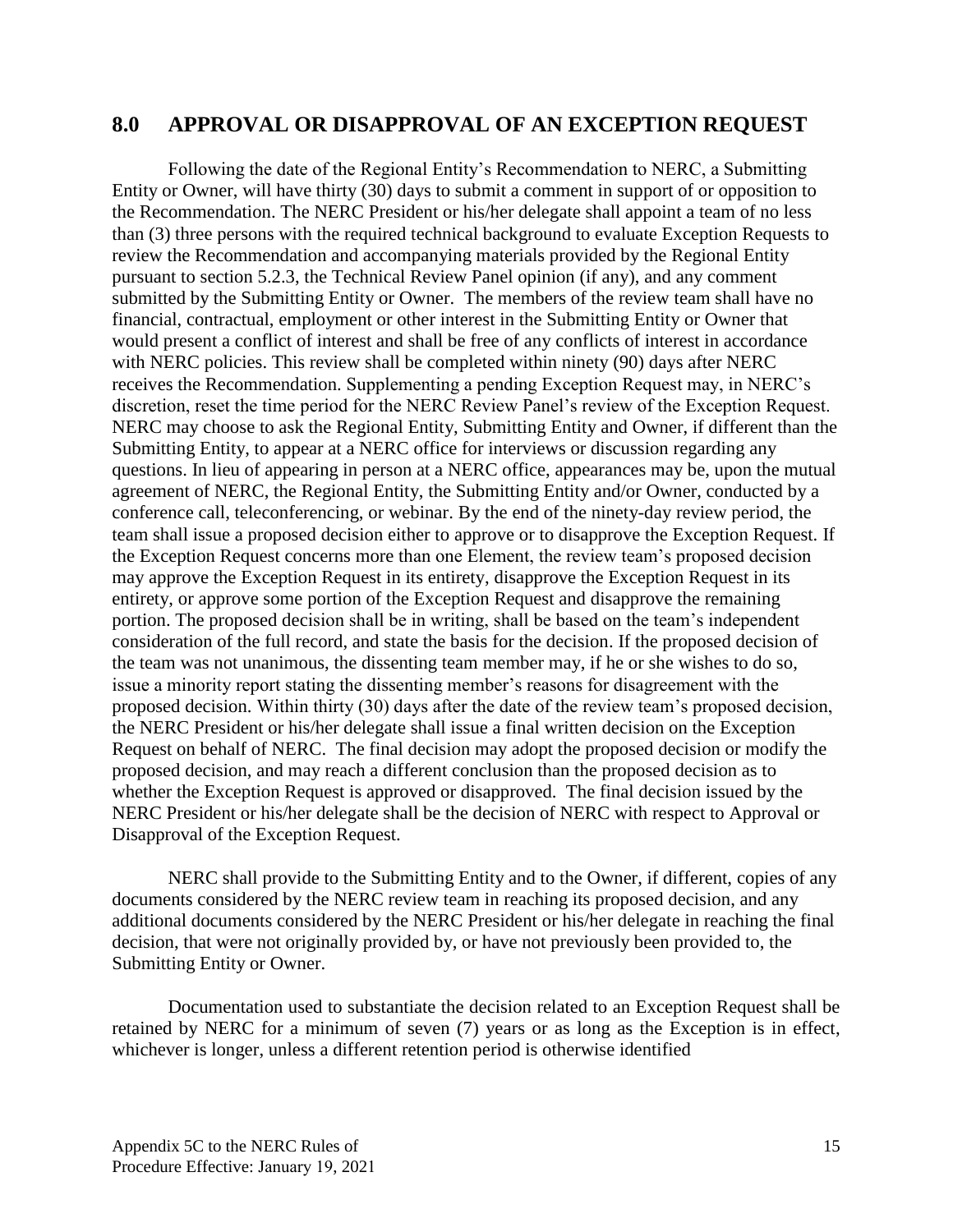### <span id="page-16-0"></span>**8.0 APPROVAL OR DISAPPROVAL OF AN EXCEPTION REQUEST**

Following the date of the Regional Entity's Recommendation to NERC, a Submitting Entity or Owner, will have thirty (30) days to submit a comment in support of or opposition to the Recommendation. The NERC President or his/her delegate shall appoint a team of no less than (3) three persons with the required technical background to evaluate Exception Requests to review the Recommendation and accompanying materials provided by the Regional Entity pursuant to section 5.2.3, the Technical Review Panel opinion (if any), and any comment submitted by the Submitting Entity or Owner. The members of the review team shall have no financial, contractual, employment or other interest in the Submitting Entity or Owner that would present a conflict of interest and shall be free of any conflicts of interest in accordance with NERC policies. This review shall be completed within ninety (90) days after NERC receives the Recommendation. Supplementing a pending Exception Request may, in NERC's discretion, reset the time period for the NERC Review Panel's review of the Exception Request. NERC may choose to ask the Regional Entity, Submitting Entity and Owner, if different than the Submitting Entity, to appear at a NERC office for interviews or discussion regarding any questions. In lieu of appearing in person at a NERC office, appearances may be, upon the mutual agreement of NERC, the Regional Entity, the Submitting Entity and/or Owner, conducted by a conference call, teleconferencing, or webinar. By the end of the ninety-day review period, the team shall issue a proposed decision either to approve or to disapprove the Exception Request. If the Exception Request concerns more than one Element, the review team's proposed decision may approve the Exception Request in its entirety, disapprove the Exception Request in its entirety, or approve some portion of the Exception Request and disapprove the remaining portion. The proposed decision shall be in writing, shall be based on the team's independent consideration of the full record, and state the basis for the decision. If the proposed decision of the team was not unanimous, the dissenting team member may, if he or she wishes to do so, issue a minority report stating the dissenting member's reasons for disagreement with the proposed decision. Within thirty (30) days after the date of the review team's proposed decision, the NERC President or his/her delegate shall issue a final written decision on the Exception Request on behalf of NERC. The final decision may adopt the proposed decision or modify the proposed decision, and may reach a different conclusion than the proposed decision as to whether the Exception Request is approved or disapproved. The final decision issued by the NERC President or his/her delegate shall be the decision of NERC with respect to Approval or Disapproval of the Exception Request.

NERC shall provide to the Submitting Entity and to the Owner, if different, copies of any documents considered by the NERC review team in reaching its proposed decision, and any additional documents considered by the NERC President or his/her delegate in reaching the final decision, that were not originally provided by, or have not previously been provided to, the Submitting Entity or Owner.

Documentation used to substantiate the decision related to an Exception Request shall be retained by NERC for a minimum of seven (7) years or as long as the Exception is in effect, whichever is longer, unless a different retention period is otherwise identified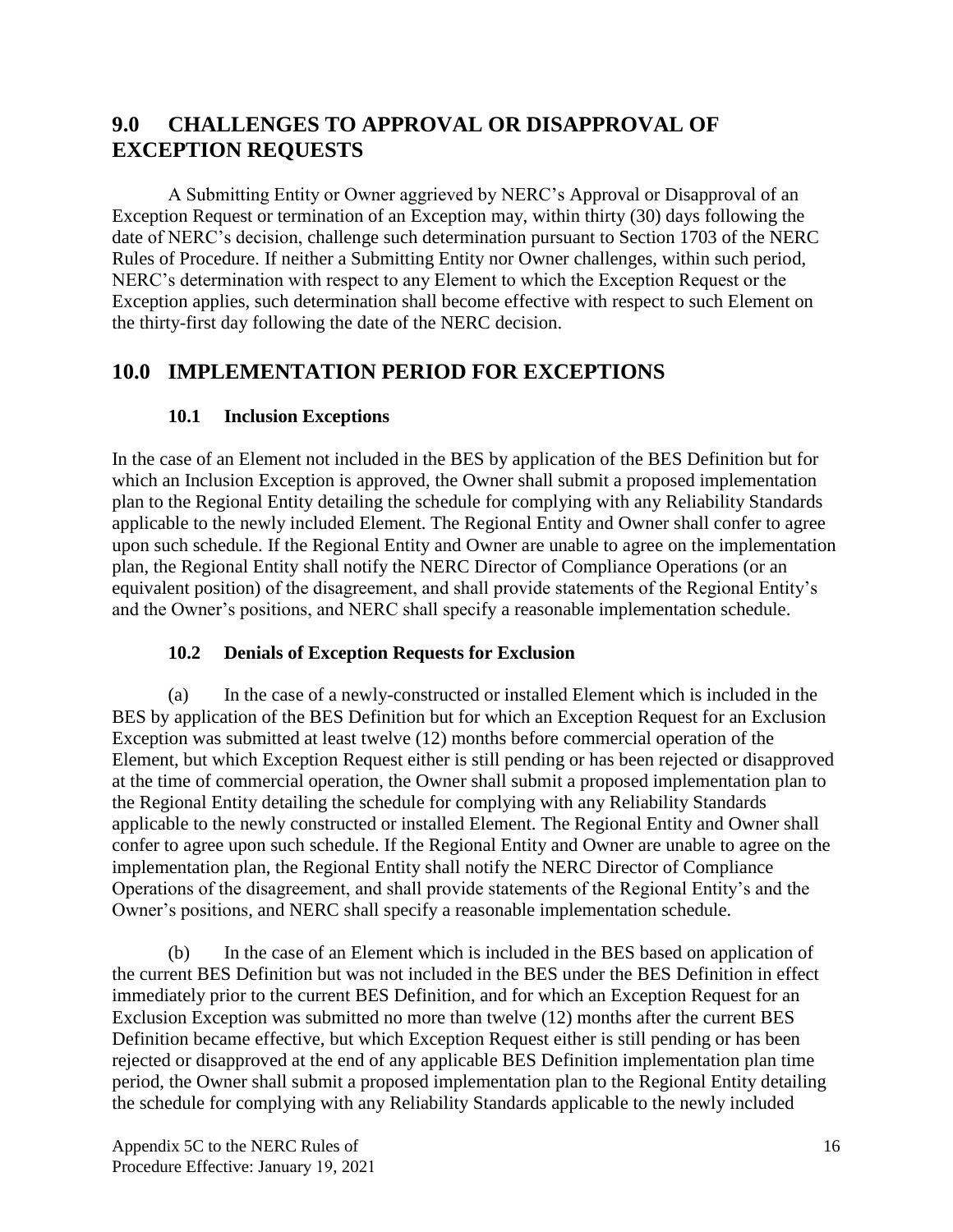# <span id="page-17-0"></span>**9.0 CHALLENGES TO APPROVAL OR DISAPPROVAL OF EXCEPTION REQUESTS**

A Submitting Entity or Owner aggrieved by NERC's Approval or Disapproval of an Exception Request or termination of an Exception may, within thirty (30) days following the date of NERC's decision, challenge such determination pursuant to Section 1703 of the NERC Rules of Procedure. If neither a Submitting Entity nor Owner challenges, within such period, NERC's determination with respect to any Element to which the Exception Request or the Exception applies, such determination shall become effective with respect to such Element on the thirty-first day following the date of the NERC decision.

## <span id="page-17-1"></span>**10.0 IMPLEMENTATION PERIOD FOR EXCEPTIONS**

## **10.1 Inclusion Exceptions**

<span id="page-17-2"></span>In the case of an Element not included in the BES by application of the BES Definition but for which an Inclusion Exception is approved, the Owner shall submit a proposed implementation plan to the Regional Entity detailing the schedule for complying with any Reliability Standards applicable to the newly included Element. The Regional Entity and Owner shall confer to agree upon such schedule. If the Regional Entity and Owner are unable to agree on the implementation plan, the Regional Entity shall notify the NERC Director of Compliance Operations (or an equivalent position) of the disagreement, and shall provide statements of the Regional Entity's and the Owner's positions, and NERC shall specify a reasonable implementation schedule.

### <span id="page-17-3"></span>**10.2 Denials of Exception Requests for Exclusion**

(a) In the case of a newly-constructed or installed Element which is included in the BES by application of the BES Definition but for which an Exception Request for an Exclusion Exception was submitted at least twelve (12) months before commercial operation of the Element, but which Exception Request either is still pending or has been rejected or disapproved at the time of commercial operation, the Owner shall submit a proposed implementation plan to the Regional Entity detailing the schedule for complying with any Reliability Standards applicable to the newly constructed or installed Element. The Regional Entity and Owner shall confer to agree upon such schedule. If the Regional Entity and Owner are unable to agree on the implementation plan, the Regional Entity shall notify the NERC Director of Compliance Operations of the disagreement, and shall provide statements of the Regional Entity's and the Owner's positions, and NERC shall specify a reasonable implementation schedule.

(b) In the case of an Element which is included in the BES based on application of the current BES Definition but was not included in the BES under the BES Definition in effect immediately prior to the current BES Definition, and for which an Exception Request for an Exclusion Exception was submitted no more than twelve (12) months after the current BES Definition became effective, but which Exception Request either is still pending or has been rejected or disapproved at the end of any applicable BES Definition implementation plan time period, the Owner shall submit a proposed implementation plan to the Regional Entity detailing the schedule for complying with any Reliability Standards applicable to the newly included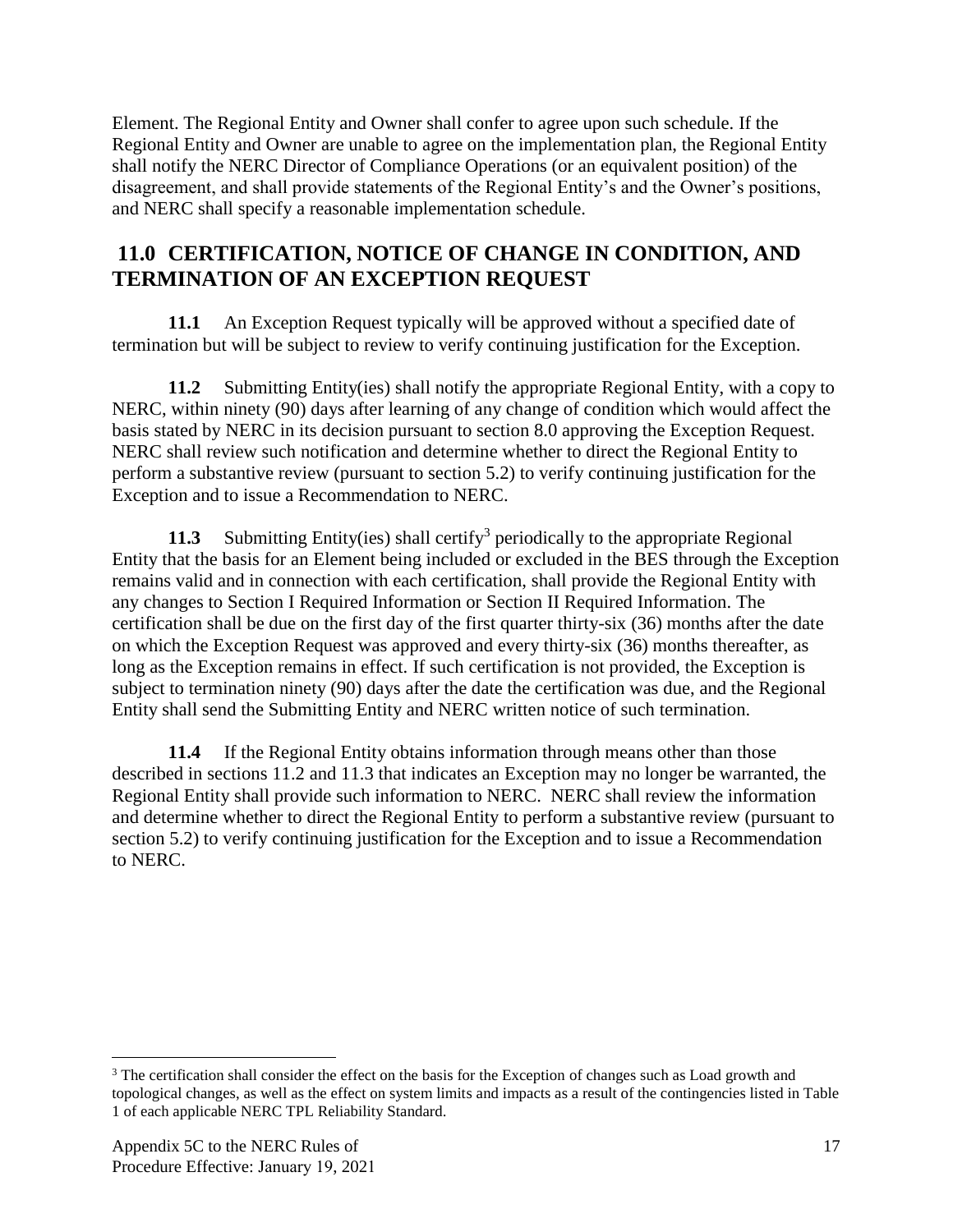Element. The Regional Entity and Owner shall confer to agree upon such schedule. If the Regional Entity and Owner are unable to agree on the implementation plan, the Regional Entity shall notify the NERC Director of Compliance Operations (or an equivalent position) of the disagreement, and shall provide statements of the Regional Entity's and the Owner's positions, and NERC shall specify a reasonable implementation schedule.

## <span id="page-18-0"></span>**11.0 CERTIFICATION, NOTICE OF CHANGE IN CONDITION, AND TERMINATION OF AN EXCEPTION REQUEST**

**11.1** An Exception Request typically will be approved without a specified date of termination but will be subject to review to verify continuing justification for the Exception.

**11.2** Submitting Entity(ies) shall notify the appropriate Regional Entity, with a copy to NERC, within ninety (90) days after learning of any change of condition which would affect the basis stated by NERC in its decision pursuant to section 8.0 approving the Exception Request. NERC shall review such notification and determine whether to direct the Regional Entity to perform a substantive review (pursuant to section 5.2) to verify continuing justification for the Exception and to issue a Recommendation to NERC.

**11.3** Submitting Entity(ies) shall certify<sup>3</sup> periodically to the appropriate Regional Entity that the basis for an Element being included or excluded in the BES through the Exception remains valid and in connection with each certification, shall provide the Regional Entity with any changes to Section I Required Information or Section II Required Information. The certification shall be due on the first day of the first quarter thirty-six (36) months after the date on which the Exception Request was approved and every thirty-six (36) months thereafter, as long as the Exception remains in effect. If such certification is not provided, the Exception is subject to termination ninety (90) days after the date the certification was due, and the Regional Entity shall send the Submitting Entity and NERC written notice of such termination.

**11.4** If the Regional Entity obtains information through means other than those described in sections 11.2 and 11.3 that indicates an Exception may no longer be warranted, the Regional Entity shall provide such information to NERC. NERC shall review the information and determine whether to direct the Regional Entity to perform a substantive review (pursuant to section 5.2) to verify continuing justification for the Exception and to issue a Recommendation to NERC.

<sup>&</sup>lt;sup>3</sup> The certification shall consider the effect on the basis for the Exception of changes such as Load growth and topological changes, as well as the effect on system limits and impacts as a result of the contingencies listed in Table 1 of each applicable NERC TPL Reliability Standard.